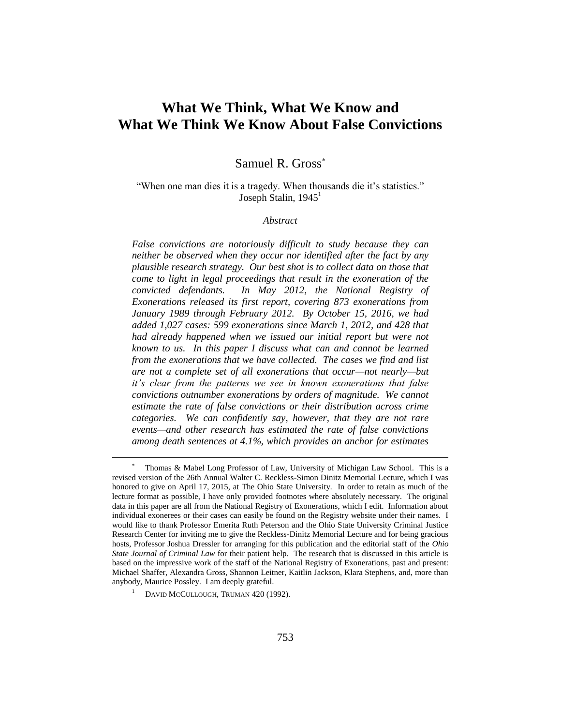# **What We Think, What We Know and What We Think We Know About False Convictions**

Samuel R. Gross

"When one man dies it is a tragedy. When thousands die it's statistics." Joseph Stalin,  $1945<sup>1</sup>$ 

# *Abstract*

*False convictions are notoriously difficult to study because they can neither be observed when they occur nor identified after the fact by any plausible research strategy. Our best shot is to collect data on those that come to light in legal proceedings that result in the exoneration of the convicted defendants. In May 2012, the National Registry of Exonerations released its first report, covering 873 exonerations from January 1989 through February 2012. By October 15, 2016, we had added 1,027 cases: 599 exonerations since March 1, 2012, and 428 that had already happened when we issued our initial report but were not known to us. In this paper I discuss what can and cannot be learned from the exonerations that we have collected. The cases we find and list are not a complete set of all exonerations that occur—not nearly—but it's clear from the patterns we see in known exonerations that false convictions outnumber exonerations by orders of magnitude. We cannot estimate the rate of false convictions or their distribution across crime categories. We can confidently say, however, that they are not rare events—and other research has estimated the rate of false convictions among death sentences at 4.1%, which provides an anchor for estimates* 

<sup>\*</sup>  Thomas & Mabel Long Professor of Law, University of Michigan Law School. This is a revised version of the 26th Annual Walter C. Reckless-Simon Dinitz Memorial Lecture, which I was honored to give on April 17, 2015, at The Ohio State University. In order to retain as much of the lecture format as possible, I have only provided footnotes where absolutely necessary. The original data in this paper are all from the National Registry of Exonerations, which I edit. Information about individual exonerees or their cases can easily be found on the Registry website under their names. I would like to thank Professor Emerita Ruth Peterson and the Ohio State University Criminal Justice Research Center for inviting me to give the Reckless-Dinitz Memorial Lecture and for being gracious hosts, Professor Joshua Dressler for arranging for this publication and the editorial staff of the *Ohio State Journal of Criminal Law* for their patient help. The research that is discussed in this article is based on the impressive work of the staff of the National Registry of Exonerations, past and present: Michael Shaffer, Alexandra Gross, Shannon Leitner, Kaitlin Jackson, Klara Stephens, and, more than anybody, Maurice Possley. I am deeply grateful.

<sup>&</sup>lt;sup>1</sup> DAVID MCCULLOUGH, TRUMAN 420 (1992).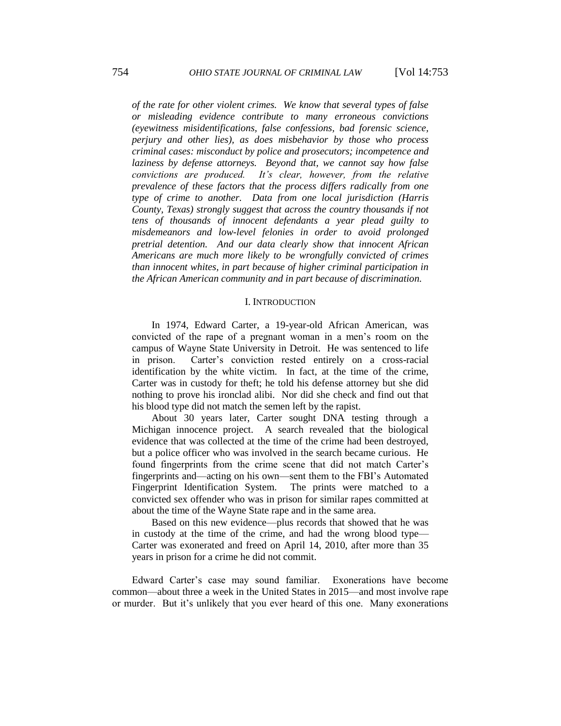*of the rate for other violent crimes. We know that several types of false or misleading evidence contribute to many erroneous convictions (eyewitness misidentifications, false confessions, bad forensic science, perjury and other lies), as does misbehavior by those who process criminal cases: misconduct by police and prosecutors; incompetence and laziness by defense attorneys. Beyond that, we cannot say how false convictions are produced. It's clear, however, from the relative prevalence of these factors that the process differs radically from one type of crime to another. Data from one local jurisdiction (Harris County, Texas) strongly suggest that across the country thousands if not tens of thousands of innocent defendants a year plead guilty to misdemeanors and low-level felonies in order to avoid prolonged pretrial detention. And our data clearly show that innocent African Americans are much more likely to be wrongfully convicted of crimes than innocent whites, in part because of higher criminal participation in the African American community and in part because of discrimination.*

## I. INTRODUCTION

In 1974, Edward Carter, a 19-year-old African American, was convicted of the rape of a pregnant woman in a men's room on the campus of Wayne State University in Detroit. He was sentenced to life in prison. Carter's conviction rested entirely on a cross-racial identification by the white victim. In fact, at the time of the crime, Carter was in custody for theft; he told his defense attorney but she did nothing to prove his ironclad alibi. Nor did she check and find out that his blood type did not match the semen left by the rapist.

About 30 years later, Carter sought DNA testing through a Michigan innocence project. A search revealed that the biological evidence that was collected at the time of the crime had been destroyed, but a police officer who was involved in the search became curious. He found fingerprints from the crime scene that did not match Carter's fingerprints and—acting on his own—sent them to the FBI's Automated Fingerprint Identification System. The prints were matched to a convicted sex offender who was in prison for similar rapes committed at about the time of the Wayne State rape and in the same area.

Based on this new evidence—plus records that showed that he was in custody at the time of the crime, and had the wrong blood type— Carter was exonerated and freed on April 14, 2010, after more than 35 years in prison for a crime he did not commit.

Edward Carter's case may sound familiar. Exonerations have become common—about three a week in the United States in 2015—and most involve rape or murder. But it's unlikely that you ever heard of this one. Many exonerations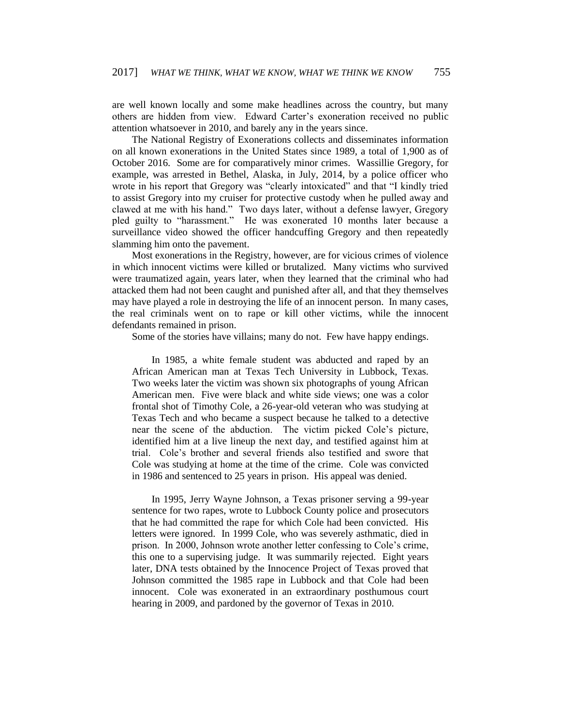are well known locally and some make headlines across the country, but many others are hidden from view. Edward Carter's exoneration received no public attention whatsoever in 2010, and barely any in the years since.

The National Registry of Exonerations collects and disseminates information on all known exonerations in the United States since 1989, a total of 1,900 as of October 2016. Some are for comparatively minor crimes. Wassillie Gregory, for example, was arrested in Bethel, Alaska, in July, 2014, by a police officer who wrote in his report that Gregory was "clearly intoxicated" and that "I kindly tried to assist Gregory into my cruiser for protective custody when he pulled away and clawed at me with his hand." Two days later, without a defense lawyer, Gregory pled guilty to "harassment." He was exonerated 10 months later because a surveillance video showed the officer handcuffing Gregory and then repeatedly slamming him onto the pavement.

Most exonerations in the Registry, however, are for vicious crimes of violence in which innocent victims were killed or brutalized. Many victims who survived were traumatized again, years later, when they learned that the criminal who had attacked them had not been caught and punished after all, and that they themselves may have played a role in destroying the life of an innocent person. In many cases, the real criminals went on to rape or kill other victims, while the innocent defendants remained in prison.

Some of the stories have villains; many do not. Few have happy endings.

In 1985, a white female student was abducted and raped by an African American man at Texas Tech University in Lubbock, Texas. Two weeks later the victim was shown six photographs of young African American men. Five were black and white side views; one was a color frontal shot of Timothy Cole, a 26-year-old veteran who was studying at Texas Tech and who became a suspect because he talked to a detective near the scene of the abduction. The victim picked Cole's picture, identified him at a live lineup the next day, and testified against him at trial. Cole's brother and several friends also testified and swore that Cole was studying at home at the time of the crime. Cole was convicted in 1986 and sentenced to 25 years in prison. His appeal was denied.

In 1995, Jerry Wayne Johnson, a Texas prisoner serving a 99-year sentence for two rapes, wrote to Lubbock County police and prosecutors that he had committed the rape for which Cole had been convicted. His letters were ignored. In 1999 Cole, who was severely asthmatic, died in prison. In 2000, Johnson wrote another letter confessing to Cole's crime, this one to a supervising judge. It was summarily rejected. Eight years later, DNA tests obtained by the Innocence Project of Texas proved that Johnson committed the 1985 rape in Lubbock and that Cole had been innocent. Cole was exonerated in an extraordinary posthumous court hearing in 2009, and pardoned by the governor of Texas in 2010.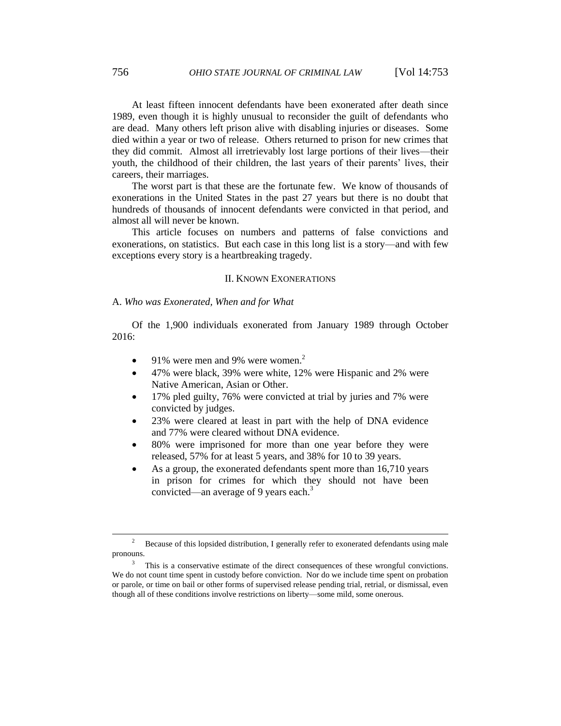At least fifteen innocent defendants have been exonerated after death since 1989, even though it is highly unusual to reconsider the guilt of defendants who are dead. Many others left prison alive with disabling injuries or diseases. Some died within a year or two of release. Others returned to prison for new crimes that they did commit. Almost all irretrievably lost large portions of their lives—their youth, the childhood of their children, the last years of their parents' lives, their careers, their marriages.

The worst part is that these are the fortunate few. We know of thousands of exonerations in the United States in the past 27 years but there is no doubt that hundreds of thousands of innocent defendants were convicted in that period, and almost all will never be known.

This article focuses on numbers and patterns of false convictions and exonerations, on statistics. But each case in this long list is a story—and with few exceptions every story is a heartbreaking tragedy.

## II. KNOWN EXONERATIONS

## A. *Who was Exonerated, When and for What*

Of the 1,900 individuals exonerated from January 1989 through October 2016:

- 91% were men and 9% were women. $2$
- 47% were black, 39% were white, 12% were Hispanic and 2% were Native American, Asian or Other.
- 17% pled guilty, 76% were convicted at trial by juries and 7% were convicted by judges.
- 23% were cleared at least in part with the help of DNA evidence and 77% were cleared without DNA evidence.
- 80% were imprisoned for more than one year before they were released, 57% for at least 5 years, and 38% for 10 to 39 years.
- As a group, the exonerated defendants spent more than 16,710 years in prison for crimes for which they should not have been convicted—an average of 9 years each.<sup>3</sup>

<sup>2</sup> Because of this lopsided distribution, I generally refer to exonerated defendants using male pronouns.

<sup>3</sup> This is a conservative estimate of the direct consequences of these wrongful convictions. We do not count time spent in custody before conviction. Nor do we include time spent on probation or parole, or time on bail or other forms of supervised release pending trial, retrial, or dismissal, even though all of these conditions involve restrictions on liberty—some mild, some onerous.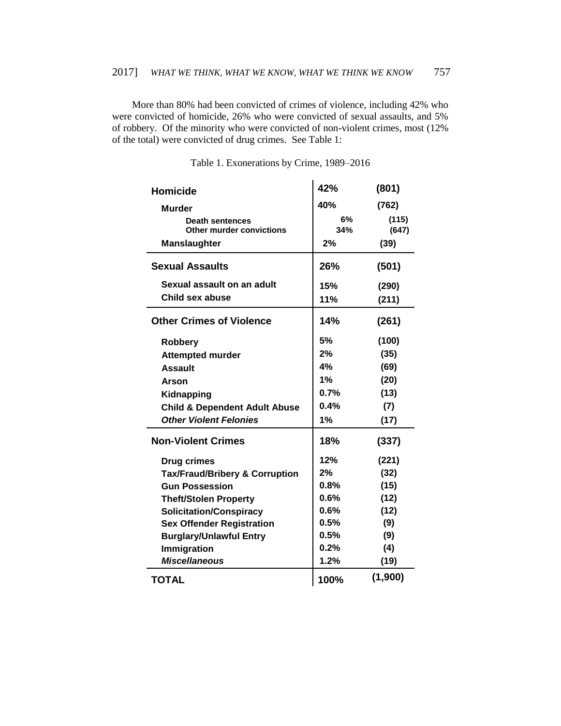More than 80% had been convicted of crimes of violence, including 42% who were convicted of homicide, 26% who were convicted of sexual assaults, and 5% of robbery. Of the minority who were convicted of non-violent crimes, most (12% of the total) were convicted of drug crimes. See Table 1:

| <b>Homicide</b>                           | 42%  | (801)   |
|-------------------------------------------|------|---------|
| <b>Murder</b>                             | 40%  | (762)   |
| <b>Death sentences</b>                    | 6%   | (115)   |
| Other murder convictions                  | 34%  | (647)   |
| <b>Manslaughter</b>                       | 2%   | (39)    |
| <b>Sexual Assaults</b>                    | 26%  | (501)   |
| Sexual assault on an adult                | 15%  | (290)   |
| Child sex abuse                           | 11%  | (211)   |
| <b>Other Crimes of Violence</b>           | 14%  | (261)   |
| <b>Robbery</b>                            | 5%   | (100)   |
| <b>Attempted murder</b>                   | 2%   | (35)    |
| <b>Assault</b>                            | 4%   | (69)    |
| Arson                                     | 1%   | (20)    |
| Kidnapping                                | 0.7% | (13)    |
| <b>Child &amp; Dependent Adult Abuse</b>  | 0.4% | (7)     |
| <b>Other Violent Felonies</b>             | 1%   | (17)    |
| <b>Non-Violent Crimes</b>                 | 18%  | (337)   |
| <b>Drug crimes</b>                        | 12%  | (221)   |
| <b>Tax/Fraud/Bribery &amp; Corruption</b> | 2%   | (32)    |
| <b>Gun Possession</b>                     | 0.8% | (15)    |
| <b>Theft/Stolen Property</b>              | 0.6% | (12)    |
| <b>Solicitation/Conspiracy</b>            | 0.6% | (12)    |
| <b>Sex Offender Registration</b>          | 0.5% | (9)     |
| <b>Burglary/Unlawful Entry</b>            | 0.5% | (9)     |
| Immigration                               | 0.2% | (4)     |
| <b>Miscellaneous</b>                      | 1.2% | (19)    |
| <b>TOTAL</b>                              | 100% | (1,900) |

| Table 1. Exonerations by Crime, 1989–2016 |  |  |  |  |
|-------------------------------------------|--|--|--|--|
|-------------------------------------------|--|--|--|--|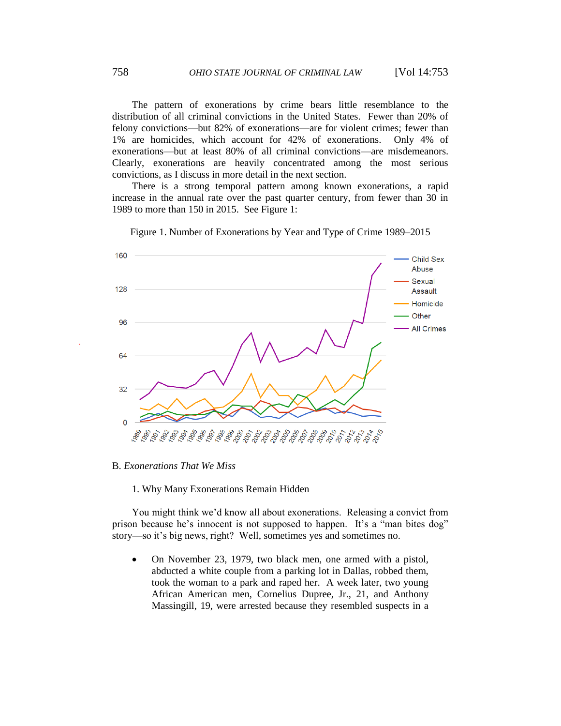The pattern of exonerations by crime bears little resemblance to the distribution of all criminal convictions in the United States. Fewer than 20% of felony convictions—but 82% of exonerations—are for violent crimes; fewer than 1% are homicides, which account for 42% of exonerations. Only 4% of exonerations—but at least 80% of all criminal convictions—are misdemeanors. Clearly, exonerations are heavily concentrated among the most serious convictions, as I discuss in more detail in the next section.

There is a strong temporal pattern among known exonerations, a rapid increase in the annual rate over the past quarter century, from fewer than 30 in 1989 to more than 150 in 2015. See Figure 1:



Figure 1. Number of Exonerations by Year and Type of Crime 1989–2015

B. *Exonerations That We Miss*

# 1. Why Many Exonerations Remain Hidden

You might think we'd know all about exonerations. Releasing a convict from prison because he's innocent is not supposed to happen. It's a "man bites dog" story—so it's big news, right? Well, sometimes yes and sometimes no.

 On November 23, 1979, two black men, one armed with a pistol, abducted a white couple from a parking lot in Dallas, robbed them, took the woman to a park and raped her. A week later, two young African American men, Cornelius Dupree, Jr., 21, and Anthony Massingill, 19, were arrested because they resembled suspects in a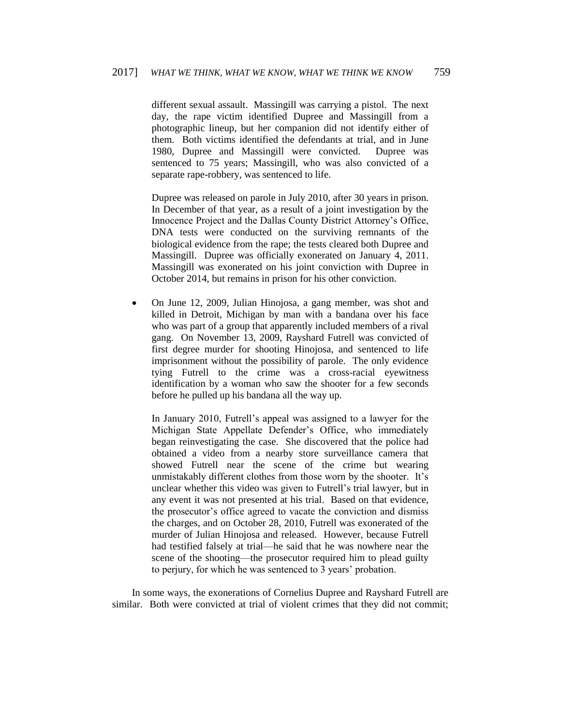different sexual assault. Massingill was carrying a pistol. The next day, the rape victim identified Dupree and Massingill from a photographic lineup, but her companion did not identify either of them. Both victims identified the defendants at trial, and in June 1980, Dupree and Massingill were convicted. Dupree was sentenced to 75 years; Massingill, who was also convicted of a separate rape-robbery, was sentenced to life.

Dupree was released on parole in July 2010, after 30 years in prison. In December of that year, as a result of a joint investigation by the Innocence Project and the Dallas County District Attorney's Office, DNA tests were conducted on the surviving remnants of the biological evidence from the rape; the tests cleared both Dupree and Massingill. Dupree was officially exonerated on January 4, 2011. Massingill was exonerated on his joint conviction with Dupree in October 2014, but remains in prison for his other conviction.

 On June 12, 2009, Julian Hinojosa, a gang member, was shot and killed in Detroit, Michigan by man with a bandana over his face who was part of a group that apparently included members of a rival gang. On November 13, 2009, Rayshard Futrell was convicted of first degree murder for shooting Hinojosa, and sentenced to life imprisonment without the possibility of parole. The only evidence tying Futrell to the crime was a cross-racial eyewitness identification by a woman who saw the shooter for a few seconds before he pulled up his bandana all the way up.

In January 2010, Futrell's appeal was assigned to a lawyer for the Michigan State Appellate Defender's Office, who immediately began reinvestigating the case. She discovered that the police had obtained a video from a nearby store surveillance camera that showed Futrell near the scene of the crime but wearing unmistakably different clothes from those worn by the shooter. It's unclear whether this video was given to Futrell's trial lawyer, but in any event it was not presented at his trial. Based on that evidence, the prosecutor's office agreed to vacate the conviction and dismiss the charges, and on October 28, 2010, Futrell was exonerated of the murder of Julian Hinojosa and released. However, because Futrell had testified falsely at trial—he said that he was nowhere near the scene of the shooting—the prosecutor required him to plead guilty to perjury, for which he was sentenced to 3 years' probation.

In some ways, the exonerations of Cornelius Dupree and Rayshard Futrell are similar. Both were convicted at trial of violent crimes that they did not commit;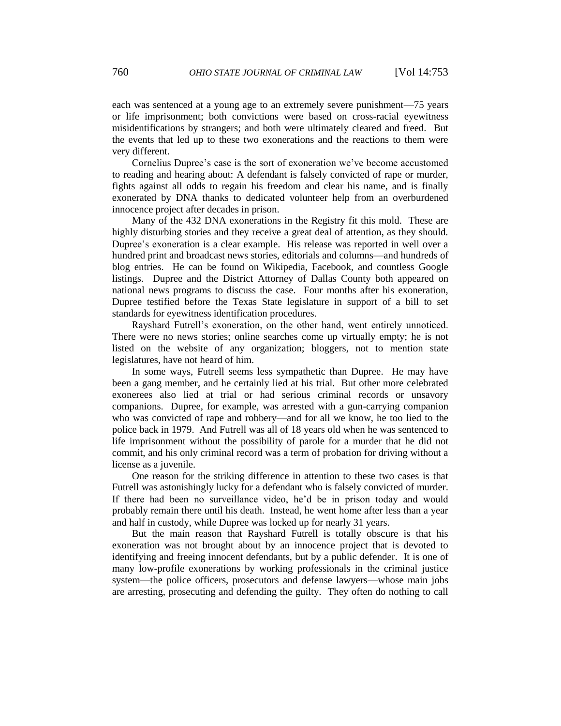each was sentenced at a young age to an extremely severe punishment—75 years or life imprisonment; both convictions were based on cross-racial eyewitness misidentifications by strangers; and both were ultimately cleared and freed. But the events that led up to these two exonerations and the reactions to them were very different.

Cornelius Dupree's case is the sort of exoneration we've become accustomed to reading and hearing about: A defendant is falsely convicted of rape or murder, fights against all odds to regain his freedom and clear his name, and is finally exonerated by DNA thanks to dedicated volunteer help from an overburdened innocence project after decades in prison.

Many of the 432 DNA exonerations in the Registry fit this mold. These are highly disturbing stories and they receive a great deal of attention, as they should. Dupree's exoneration is a clear example. His release was reported in well over a hundred print and broadcast news stories, editorials and columns—and hundreds of blog entries. He can be found on Wikipedia, Facebook, and countless Google listings. Dupree and the District Attorney of Dallas County both appeared on national news programs to discuss the case. Four months after his exoneration, Dupree testified before the Texas State legislature in support of a bill to set standards for eyewitness identification procedures.

Rayshard Futrell's exoneration, on the other hand, went entirely unnoticed. There were no news stories; online searches come up virtually empty; he is not listed on the website of any organization; bloggers, not to mention state legislatures, have not heard of him.

In some ways, Futrell seems less sympathetic than Dupree. He may have been a gang member, and he certainly lied at his trial. But other more celebrated exonerees also lied at trial or had serious criminal records or unsavory companions. Dupree, for example, was arrested with a gun-carrying companion who was convicted of rape and robbery—and for all we know, he too lied to the police back in 1979. And Futrell was all of 18 years old when he was sentenced to life imprisonment without the possibility of parole for a murder that he did not commit, and his only criminal record was a term of probation for driving without a license as a juvenile.

One reason for the striking difference in attention to these two cases is that Futrell was astonishingly lucky for a defendant who is falsely convicted of murder. If there had been no surveillance video, he'd be in prison today and would probably remain there until his death. Instead, he went home after less than a year and half in custody, while Dupree was locked up for nearly 31 years.

But the main reason that Rayshard Futrell is totally obscure is that his exoneration was not brought about by an innocence project that is devoted to identifying and freeing innocent defendants, but by a public defender. It is one of many low-profile exonerations by working professionals in the criminal justice system—the police officers, prosecutors and defense lawyers—whose main jobs are arresting, prosecuting and defending the guilty. They often do nothing to call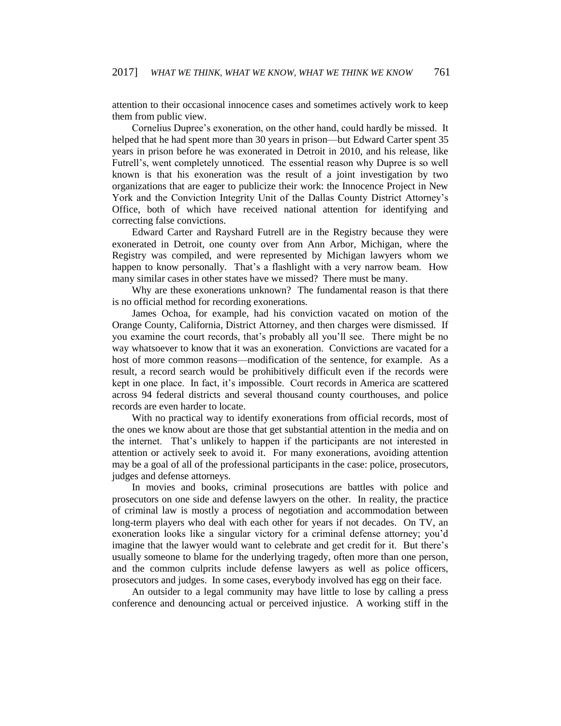attention to their occasional innocence cases and sometimes actively work to keep them from public view.

Cornelius Dupree's exoneration, on the other hand, could hardly be missed. It helped that he had spent more than 30 years in prison—but Edward Carter spent 35 years in prison before he was exonerated in Detroit in 2010, and his release, like Futrell's, went completely unnoticed. The essential reason why Dupree is so well known is that his exoneration was the result of a joint investigation by two organizations that are eager to publicize their work: the Innocence Project in New York and the Conviction Integrity Unit of the Dallas County District Attorney's Office, both of which have received national attention for identifying and correcting false convictions.

Edward Carter and Rayshard Futrell are in the Registry because they were exonerated in Detroit, one county over from Ann Arbor, Michigan, where the Registry was compiled, and were represented by Michigan lawyers whom we happen to know personally. That's a flashlight with a very narrow beam. How many similar cases in other states have we missed? There must be many.

Why are these exonerations unknown? The fundamental reason is that there is no official method for recording exonerations.

James Ochoa, for example, had his conviction vacated on motion of the Orange County, California, District Attorney, and then charges were dismissed. If you examine the court records, that's probably all you'll see. There might be no way whatsoever to know that it was an exoneration. Convictions are vacated for a host of more common reasons—modification of the sentence, for example. As a result, a record search would be prohibitively difficult even if the records were kept in one place. In fact, it's impossible. Court records in America are scattered across 94 federal districts and several thousand county courthouses, and police records are even harder to locate.

With no practical way to identify exonerations from official records, most of the ones we know about are those that get substantial attention in the media and on the internet. That's unlikely to happen if the participants are not interested in attention or actively seek to avoid it. For many exonerations, avoiding attention may be a goal of all of the professional participants in the case: police, prosecutors, judges and defense attorneys.

In movies and books, criminal prosecutions are battles with police and prosecutors on one side and defense lawyers on the other. In reality, the practice of criminal law is mostly a process of negotiation and accommodation between long-term players who deal with each other for years if not decades. On TV, an exoneration looks like a singular victory for a criminal defense attorney; you'd imagine that the lawyer would want to celebrate and get credit for it. But there's usually someone to blame for the underlying tragedy, often more than one person, and the common culprits include defense lawyers as well as police officers, prosecutors and judges. In some cases, everybody involved has egg on their face.

An outsider to a legal community may have little to lose by calling a press conference and denouncing actual or perceived injustice. A working stiff in the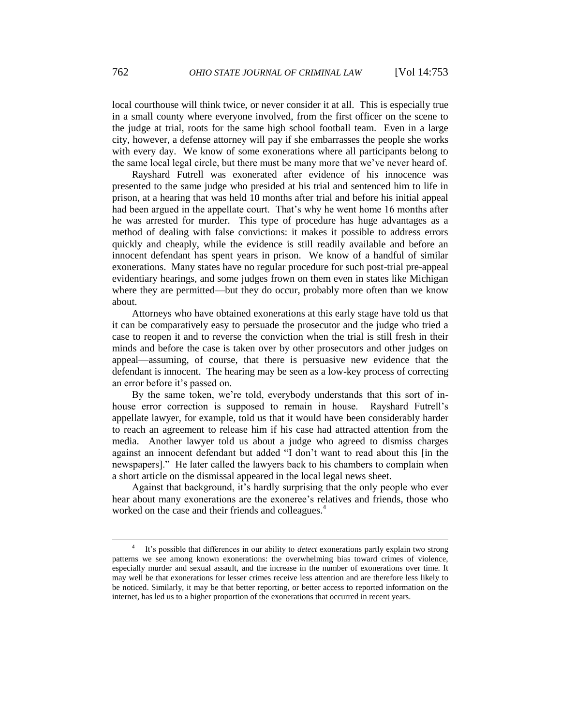local courthouse will think twice, or never consider it at all. This is especially true in a small county where everyone involved, from the first officer on the scene to the judge at trial, roots for the same high school football team. Even in a large city, however, a defense attorney will pay if she embarrasses the people she works with every day. We know of some exonerations where all participants belong to the same local legal circle, but there must be many more that we've never heard of.

Rayshard Futrell was exonerated after evidence of his innocence was presented to the same judge who presided at his trial and sentenced him to life in prison, at a hearing that was held 10 months after trial and before his initial appeal had been argued in the appellate court. That's why he went home 16 months after he was arrested for murder. This type of procedure has huge advantages as a method of dealing with false convictions: it makes it possible to address errors quickly and cheaply, while the evidence is still readily available and before an innocent defendant has spent years in prison. We know of a handful of similar exonerations. Many states have no regular procedure for such post-trial pre-appeal evidentiary hearings, and some judges frown on them even in states like Michigan where they are permitted—but they do occur, probably more often than we know about.

Attorneys who have obtained exonerations at this early stage have told us that it can be comparatively easy to persuade the prosecutor and the judge who tried a case to reopen it and to reverse the conviction when the trial is still fresh in their minds and before the case is taken over by other prosecutors and other judges on appeal—assuming, of course, that there is persuasive new evidence that the defendant is innocent. The hearing may be seen as a low-key process of correcting an error before it's passed on.

By the same token, we're told, everybody understands that this sort of inhouse error correction is supposed to remain in house. Rayshard Futrell's appellate lawyer, for example, told us that it would have been considerably harder to reach an agreement to release him if his case had attracted attention from the media. Another lawyer told us about a judge who agreed to dismiss charges against an innocent defendant but added "I don't want to read about this [in the newspapers]." He later called the lawyers back to his chambers to complain when a short article on the dismissal appeared in the local legal news sheet.

Against that background, it's hardly surprising that the only people who ever hear about many exonerations are the exoneree's relatives and friends, those who worked on the case and their friends and colleagues.<sup>4</sup>

<sup>4</sup> It's possible that differences in our ability to *detect* exonerations partly explain two strong patterns we see among known exonerations: the overwhelming bias toward crimes of violence, especially murder and sexual assault, and the increase in the number of exonerations over time. It may well be that exonerations for lesser crimes receive less attention and are therefore less likely to be noticed. Similarly, it may be that better reporting, or better access to reported information on the internet, has led us to a higher proportion of the exonerations that occurred in recent years.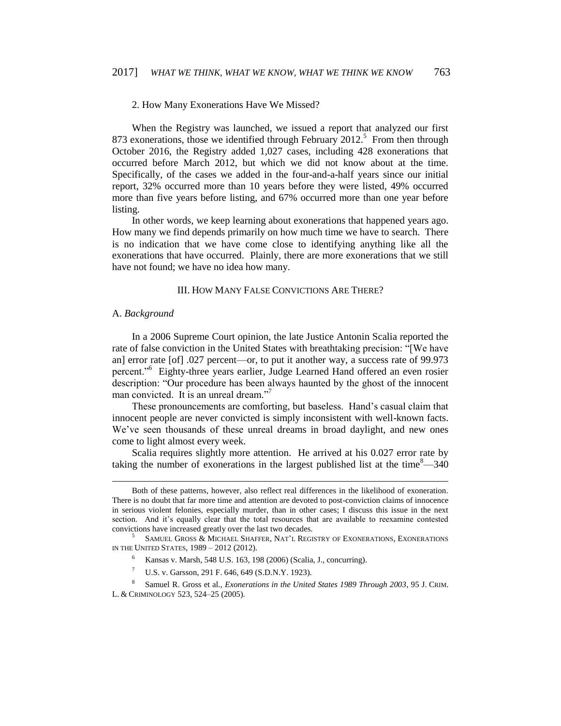## 2. How Many Exonerations Have We Missed?

When the Registry was launched, we issued a report that analyzed our first 873 exonerations, those we identified through February  $2012$ <sup>5</sup> From then through October 2016, the Registry added 1,027 cases, including 428 exonerations that occurred before March 2012, but which we did not know about at the time. Specifically, of the cases we added in the four-and-a-half years since our initial report, 32% occurred more than 10 years before they were listed, 49% occurred more than five years before listing, and 67% occurred more than one year before listing.

In other words, we keep learning about exonerations that happened years ago. How many we find depends primarily on how much time we have to search. There is no indication that we have come close to identifying anything like all the exonerations that have occurred. Plainly, there are more exonerations that we still have not found; we have no idea how many.

#### III. HOW MANY FALSE CONVICTIONS ARE THERE?

## A. *Background*

 $\overline{a}$ 

In a 2006 Supreme Court opinion, the late Justice Antonin Scalia reported the rate of false conviction in the United States with breathtaking precision: "[We have an] error rate [of] .027 percent—or, to put it another way, a success rate of 99.973 percent."<sup>6</sup> Eighty-three years earlier, Judge Learned Hand offered an even rosier description: "Our procedure has been always haunted by the ghost of the innocent man convicted. It is an unreal dream."<sup>7</sup>

These pronouncements are comforting, but baseless. Hand's casual claim that innocent people are never convicted is simply inconsistent with well-known facts. We've seen thousands of these unreal dreams in broad daylight, and new ones come to light almost every week.

Scalia requires slightly more attention. He arrived at his 0.027 error rate by taking the number of exonerations in the largest published list at the time $8-340$ 

Both of these patterns, however, also reflect real differences in the likelihood of exoneration. There is no doubt that far more time and attention are devoted to post-conviction claims of innocence in serious violent felonies, especially murder, than in other cases; I discuss this issue in the next section. And it's equally clear that the total resources that are available to reexamine contested convictions have increased greatly over the last two decades.

<sup>5</sup> SAMUEL GROSS & MICHAEL SHAFFER, NAT'L REGISTRY OF EXONERATIONS, EXONERATIONS IN THE UNITED STATES, 1989 – 2012 (2012).

<sup>6</sup> Kansas v. Marsh, 548 U.S. 163, 198 (2006) (Scalia, J., concurring).

<sup>7</sup> U.S. v. Garsson, 291 F. 646, 649 (S.D.N.Y. 1923).

<sup>8</sup> Samuel R. Gross et al., *Exonerations in the United States 1989 Through 2003*, 95 J. CRIM. L. & CRIMINOLOGY 523, 524–25 (2005).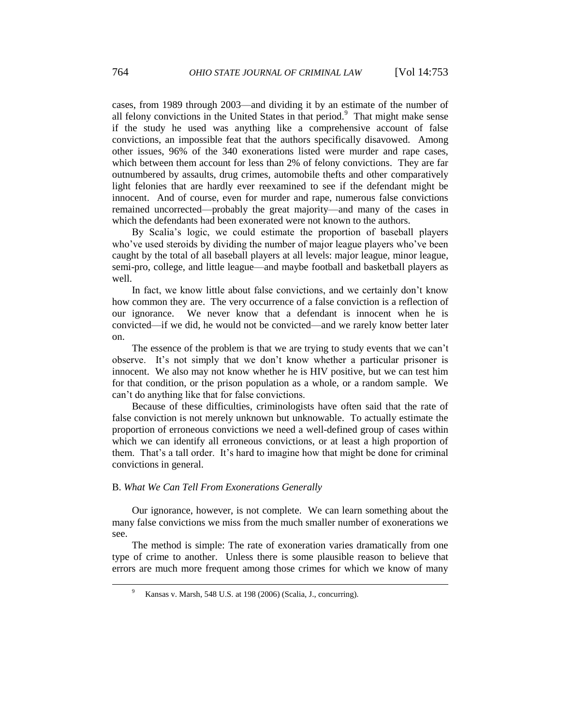cases, from 1989 through 2003—and dividing it by an estimate of the number of all felony convictions in the United States in that period.<sup>9</sup> That might make sense if the study he used was anything like a comprehensive account of false convictions, an impossible feat that the authors specifically disavowed. Among other issues, 96% of the 340 exonerations listed were murder and rape cases, which between them account for less than 2% of felony convictions. They are far outnumbered by assaults, drug crimes, automobile thefts and other comparatively light felonies that are hardly ever reexamined to see if the defendant might be innocent. And of course, even for murder and rape, numerous false convictions remained uncorrected—probably the great majority—and many of the cases in which the defendants had been exonerated were not known to the authors.

By Scalia's logic, we could estimate the proportion of baseball players who've used steroids by dividing the number of major league players who've been caught by the total of all baseball players at all levels: major league, minor league, semi-pro, college, and little league—and maybe football and basketball players as well.

In fact, we know little about false convictions, and we certainly don't know how common they are. The very occurrence of a false conviction is a reflection of our ignorance. We never know that a defendant is innocent when he is convicted—if we did, he would not be convicted—and we rarely know better later on.

The essence of the problem is that we are trying to study events that we can't observe. It's not simply that we don't know whether a particular prisoner is innocent. We also may not know whether he is HIV positive, but we can test him for that condition, or the prison population as a whole, or a random sample. We can't do anything like that for false convictions.

Because of these difficulties, criminologists have often said that the rate of false conviction is not merely unknown but unknowable. To actually estimate the proportion of erroneous convictions we need a well-defined group of cases within which we can identify all erroneous convictions, or at least a high proportion of them. That's a tall order. It's hard to imagine how that might be done for criminal convictions in general.

#### B. *What We Can Tell From Exonerations Generally*

Our ignorance, however, is not complete. We can learn something about the many false convictions we miss from the much smaller number of exonerations we see.

The method is simple: The rate of exoneration varies dramatically from one type of crime to another. Unless there is some plausible reason to believe that errors are much more frequent among those crimes for which we know of many

<sup>9</sup> Kansas v. Marsh, 548 U.S. at 198 (2006) (Scalia, J., concurring).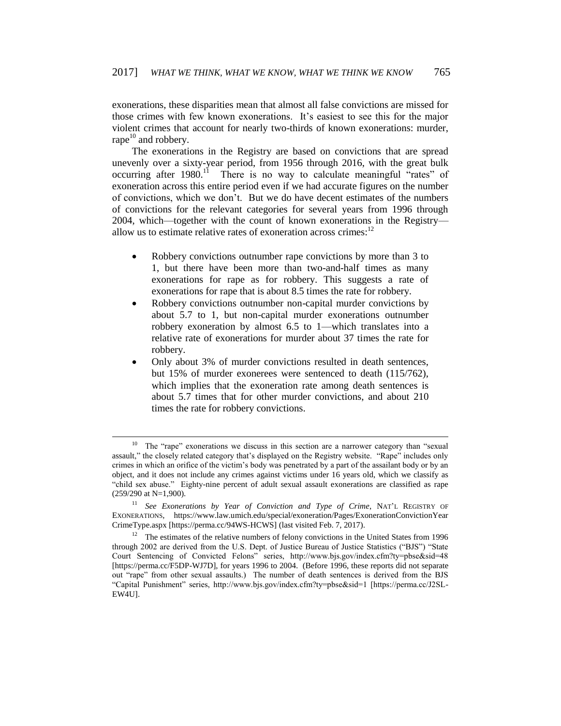exonerations, these disparities mean that almost all false convictions are missed for those crimes with few known exonerations. It's easiest to see this for the major violent crimes that account for nearly two-thirds of known exonerations: murder, rape $^{10}$  and robbery.

The exonerations in the Registry are based on convictions that are spread unevenly over a sixty-year period, from 1956 through 2016, with the great bulk occurring after  $1980$ .<sup>11</sup> There is no way to calculate meaningful "rates" of exoneration across this entire period even if we had accurate figures on the number of convictions, which we don't. But we do have decent estimates of the numbers of convictions for the relevant categories for several years from 1996 through 2004, which—together with the count of known exonerations in the Registry allow us to estimate relative rates of exoneration across crimes:<sup>12</sup>

- Robbery convictions outnumber rape convictions by more than 3 to 1, but there have been more than two-and-half times as many exonerations for rape as for robbery. This suggests a rate of exonerations for rape that is about 8.5 times the rate for robbery.
- Robbery convictions outnumber non-capital murder convictions by about 5.7 to 1, but non-capital murder exonerations outnumber robbery exoneration by almost 6.5 to 1—which translates into a relative rate of exonerations for murder about 37 times the rate for robbery.
- Only about 3% of murder convictions resulted in death sentences, but 15% of murder exonerees were sentenced to death (115/762), which implies that the exoneration rate among death sentences is about 5.7 times that for other murder convictions, and about 210 times the rate for robbery convictions.

 $\overline{a}$ 

<sup>&</sup>lt;sup>10</sup> The "rape" exonerations we discuss in this section are a narrower category than "sexual assault," the closely related category that's displayed on the Registry website. "Rape" includes only crimes in which an orifice of the victim's body was penetrated by a part of the assailant body or by an object, and it does not include any crimes against victims under 16 years old, which we classify as "child sex abuse." Eighty-nine percent of adult sexual assault exonerations are classified as rape (259/290 at N=1,900).

<sup>11</sup> *See Exonerations by Year of Conviction and Type of Crime*, NAT'L REGISTRY OF EXONERATIONS, https://www.law.umich.edu/special/exoneration/Pages/ExonerationConvictionYear CrimeType.aspx [https://perma.cc/94WS-HCWS] (last visited Feb. 7, 2017).

<sup>&</sup>lt;sup>12</sup> The estimates of the relative numbers of felony convictions in the United States from 1996 through 2002 are derived from the U.S. Dept. of Justice Bureau of Justice Statistics ("BJS") "State Court Sentencing of Convicted Felons" series, http://www.bjs.gov/index.cfm?ty=pbse&sid=48 [https://perma.cc/F5DP-WJ7D], for years 1996 to 2004. (Before 1996, these reports did not separate out "rape" from other sexual assaults.) The number of death sentences is derived from the BJS "Capital Punishment" series, http://www.bjs.gov/index.cfm?ty=pbse&sid=1 [https://perma.cc/J2SL-EW4U].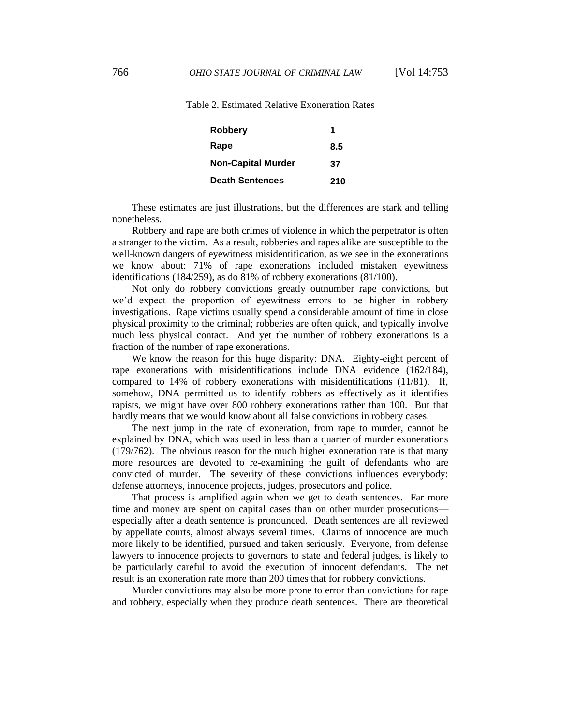Table 2. Estimated Relative Exoneration Rates

| Robbery                   |     |
|---------------------------|-----|
| Rape                      | 8.5 |
| <b>Non-Capital Murder</b> | 37  |
| <b>Death Sentences</b>    | 210 |

These estimates are just illustrations, but the differences are stark and telling nonetheless.

Robbery and rape are both crimes of violence in which the perpetrator is often a stranger to the victim. As a result, robberies and rapes alike are susceptible to the well-known dangers of eyewitness misidentification, as we see in the exonerations we know about: 71% of rape exonerations included mistaken eyewitness identifications (184/259), as do 81% of robbery exonerations (81/100).

Not only do robbery convictions greatly outnumber rape convictions, but we'd expect the proportion of eyewitness errors to be higher in robbery investigations. Rape victims usually spend a considerable amount of time in close physical proximity to the criminal; robberies are often quick, and typically involve much less physical contact. And yet the number of robbery exonerations is a fraction of the number of rape exonerations.

We know the reason for this huge disparity: DNA. Eighty-eight percent of rape exonerations with misidentifications include DNA evidence (162/184), compared to 14% of robbery exonerations with misidentifications (11/81). If, somehow, DNA permitted us to identify robbers as effectively as it identifies rapists, we might have over 800 robbery exonerations rather than 100. But that hardly means that we would know about all false convictions in robbery cases.

The next jump in the rate of exoneration, from rape to murder, cannot be explained by DNA, which was used in less than a quarter of murder exonerations (179/762). The obvious reason for the much higher exoneration rate is that many more resources are devoted to re-examining the guilt of defendants who are convicted of murder. The severity of these convictions influences everybody: defense attorneys, innocence projects, judges, prosecutors and police.

That process is amplified again when we get to death sentences. Far more time and money are spent on capital cases than on other murder prosecutions especially after a death sentence is pronounced. Death sentences are all reviewed by appellate courts, almost always several times. Claims of innocence are much more likely to be identified, pursued and taken seriously. Everyone, from defense lawyers to innocence projects to governors to state and federal judges, is likely to be particularly careful to avoid the execution of innocent defendants. The net result is an exoneration rate more than 200 times that for robbery convictions.

Murder convictions may also be more prone to error than convictions for rape and robbery, especially when they produce death sentences. There are theoretical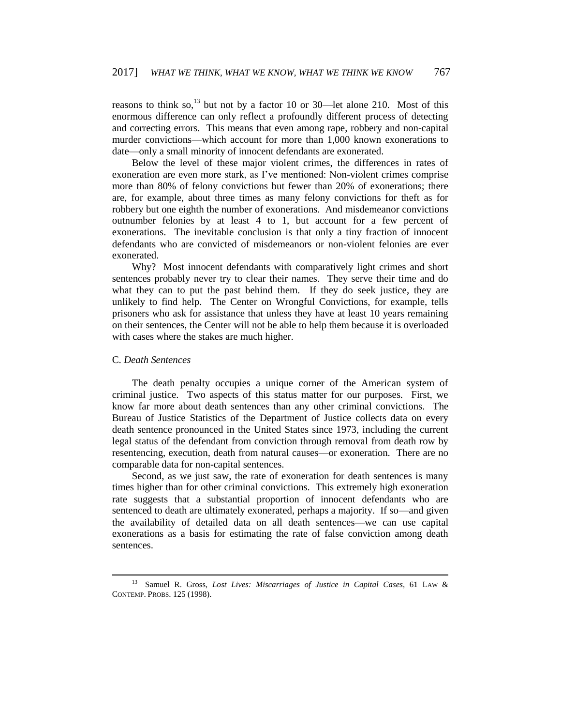reasons to think so,<sup>13</sup> but not by a factor 10 or 30—let alone 210. Most of this enormous difference can only reflect a profoundly different process of detecting and correcting errors. This means that even among rape, robbery and non-capital murder convictions—which account for more than 1,000 known exonerations to date—only a small minority of innocent defendants are exonerated.

Below the level of these major violent crimes, the differences in rates of exoneration are even more stark, as I've mentioned: Non-violent crimes comprise more than 80% of felony convictions but fewer than 20% of exonerations; there are, for example, about three times as many felony convictions for theft as for robbery but one eighth the number of exonerations. And misdemeanor convictions outnumber felonies by at least 4 to 1, but account for a few percent of exonerations. The inevitable conclusion is that only a tiny fraction of innocent defendants who are convicted of misdemeanors or non-violent felonies are ever exonerated.

Why? Most innocent defendants with comparatively light crimes and short sentences probably never try to clear their names. They serve their time and do what they can to put the past behind them. If they do seek justice, they are unlikely to find help. The Center on Wrongful Convictions, for example, tells prisoners who ask for assistance that unless they have at least 10 years remaining on their sentences, the Center will not be able to help them because it is overloaded with cases where the stakes are much higher.

## C. *Death Sentences*

 $\overline{a}$ 

The death penalty occupies a unique corner of the American system of criminal justice. Two aspects of this status matter for our purposes. First, we know far more about death sentences than any other criminal convictions. The Bureau of Justice Statistics of the Department of Justice collects data on every death sentence pronounced in the United States since 1973, including the current legal status of the defendant from conviction through removal from death row by resentencing, execution, death from natural causes—or exoneration. There are no comparable data for non-capital sentences.

Second, as we just saw, the rate of exoneration for death sentences is many times higher than for other criminal convictions. This extremely high exoneration rate suggests that a substantial proportion of innocent defendants who are sentenced to death are ultimately exonerated, perhaps a majority. If so—and given the availability of detailed data on all death sentences—we can use capital exonerations as a basis for estimating the rate of false conviction among death sentences.

<sup>13</sup> Samuel R. Gross, *Lost Lives: Miscarriages of Justice in Capital Cases*, 61 LAW & CONTEMP. PROBS. 125 (1998).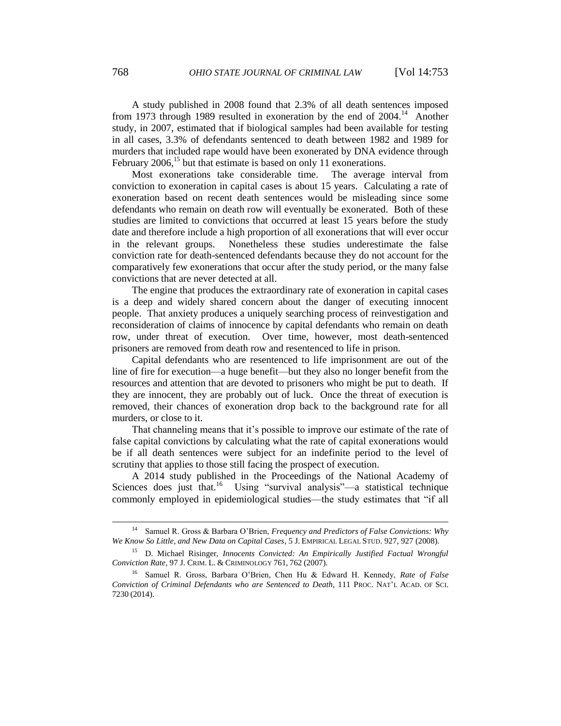A study published in 2008 found that 2.3% of all death sentences imposed from 1973 through 1989 resulted in exoneration by the end of 2004.<sup>14</sup> Another study, in 2007, estimated that if biological samples had been available for testing in all cases, 3.3% of defendants sentenced to death between 1982 and 1989 for murders that included rape would have been exonerated by DNA evidence through February  $2006$ ,<sup>15</sup> but that estimate is based on only 11 exonerations.

Most exonerations take considerable time. The average interval from conviction to exoneration in capital cases is about 15 years. Calculating a rate of exoneration based on recent death sentences would be misleading since some defendants who remain on death row will eventually be exonerated. Both of these studies are limited to convictions that occurred at least 15 years before the study date and therefore include a high proportion of all exonerations that will ever occur in the relevant groups. Nonetheless these studies underestimate the false conviction rate for death-sentenced defendants because they do not account for the comparatively few exonerations that occur after the study period, or the many false convictions that are never detected at all.

The engine that produces the extraordinary rate of exoneration in capital cases is a deep and widely shared concern about the danger of executing innocent people. That anxiety produces a uniquely searching process of reinvestigation and reconsideration of claims of innocence by capital defendants who remain on death row, under threat of execution. Over time, however, most death-sentenced prisoners are removed from death row and resentenced to life in prison.

Capital defendants who are resentenced to life imprisonment are out of the line of fire for execution—a huge benefit—but they also no longer benefit from the resources and attention that are devoted to prisoners who might be put to death. If they are innocent, they are probably out of luck. Once the threat of execution is removed, their chances of exoneration drop back to the background rate for all murders, or close to it.

That channeling means that it's possible to improve our estimate of the rate of false capital convictions by calculating what the rate of capital exonerations would be if all death sentences were subject for an indefinite period to the level of scrutiny that applies to those still facing the prospect of execution.

A 2014 study published in the Proceedings of the National Academy of Sciences does just that.<sup>16</sup> Using "survival analysis"—a statistical technique commonly employed in epidemiological studies—the study estimates that "if all

 $\overline{a}$ 

<sup>14</sup> Samuel R. Gross & Barbara O'Brien, *Frequency and Predictors of False Convictions: Why We Know So Little, and New Data on Capital Cases*, 5 J. EMPIRICAL LEGAL STUD. 927, 927 (2008).

<sup>15</sup> D. Michael Risinger, *Innocents Convicted: An Empirically Justified Factual Wrongful Conviction Rate*, 97 J. CRIM. L. & CRIMINOLOGY 761, 762 (2007).

<sup>16</sup> Samuel R. Gross, Barbara O'Brien, Chen Hu & Edward H. Kennedy, *Rate of False Conviction of Criminal Defendants who are Sentenced to Death*, 111 PROC. NAT'L ACAD. OF SCI. 7230 (2014).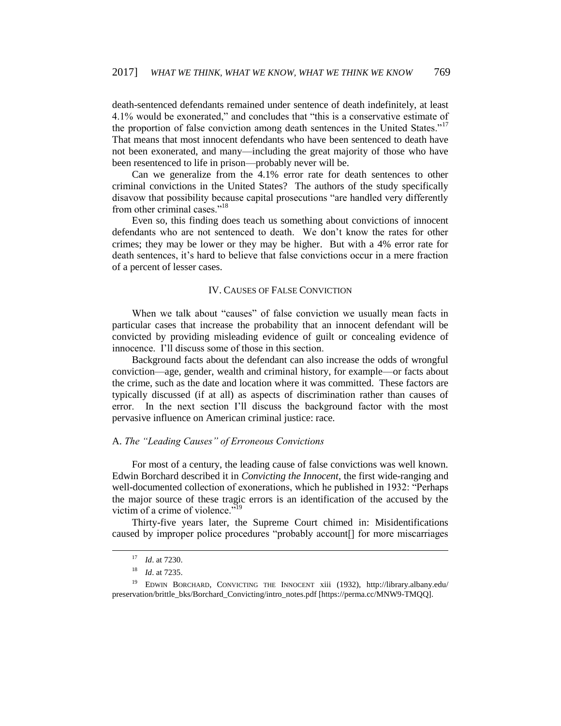death-sentenced defendants remained under sentence of death indefinitely, at least 4.1% would be exonerated," and concludes that "this is a conservative estimate of the proportion of false conviction among death sentences in the United States."<sup>17</sup> That means that most innocent defendants who have been sentenced to death have not been exonerated, and many—including the great majority of those who have been resentenced to life in prison—probably never will be.

Can we generalize from the 4.1% error rate for death sentences to other criminal convictions in the United States? The authors of the study specifically disavow that possibility because capital prosecutions "are handled very differently from other criminal cases."<sup>18</sup>

Even so, this finding does teach us something about convictions of innocent defendants who are not sentenced to death. We don't know the rates for other crimes; they may be lower or they may be higher. But with a 4% error rate for death sentences, it's hard to believe that false convictions occur in a mere fraction of a percent of lesser cases.

#### IV. CAUSES OF FALSE CONVICTION

When we talk about "causes" of false conviction we usually mean facts in particular cases that increase the probability that an innocent defendant will be convicted by providing misleading evidence of guilt or concealing evidence of innocence. I'll discuss some of those in this section.

Background facts about the defendant can also increase the odds of wrongful conviction—age, gender, wealth and criminal history, for example—or facts about the crime, such as the date and location where it was committed. These factors are typically discussed (if at all) as aspects of discrimination rather than causes of error. In the next section I'll discuss the background factor with the most pervasive influence on American criminal justice: race.

# A. *The "Leading Causes" of Erroneous Convictions*

For most of a century, the leading cause of false convictions was well known. Edwin Borchard described it in *Convicting the Innocent*, the first wide-ranging and well-documented collection of exonerations, which he published in 1932: "Perhaps the major source of these tragic errors is an identification of the accused by the victim of a crime of violence."<sup>19</sup>

Thirty-five years later, the Supreme Court chimed in: Misidentifications caused by improper police procedures "probably account[] for more miscarriages

 $\overline{a}$ 

<sup>17</sup> *Id*. at 7230.

<sup>18</sup> *Id*. at 7235.

<sup>&</sup>lt;sup>19</sup> EDWIN BORCHARD, CONVICTING THE INNOCENT xiii (1932), http://library.albany.edu/ preservation/brittle\_bks/Borchard\_Convicting/intro\_notes.pdf [https://perma.cc/MNW9-TMQQ].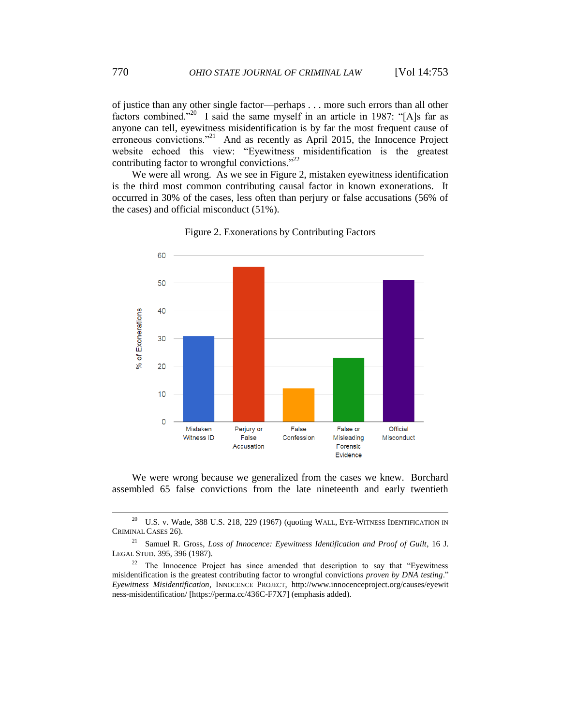of justice than any other single factor—perhaps . . . more such errors than all other factors combined."<sup>20</sup> I said the same myself in an article in 1987: "[A]s far as anyone can tell, eyewitness misidentification is by far the most frequent cause of erroneous convictions."<sup>21</sup> And as recently as April 2015, the Innocence Project website echoed this view: "Eyewitness misidentification is the greatest contributing factor to wrongful convictions."<sup>22</sup>

We were all wrong. As we see in Figure 2, mistaken eyewitness identification is the third most common contributing causal factor in known exonerations. It occurred in 30% of the cases, less often than perjury or false accusations (56% of the cases) and official misconduct (51%).



Figure 2. Exonerations by Contributing Factors

We were wrong because we generalized from the cases we knew. Borchard assembled 65 false convictions from the late nineteenth and early twentieth

 $20$  U.S. v. Wade, 388 U.S. 218, 229 (1967) (quoting WALL, EYE-WITNESS IDENTIFICATION IN CRIMINAL CASES 26).

<sup>&</sup>lt;sup>21</sup> Samuel R. Gross, *Loss of Innocence: Eyewitness Identification and Proof of Guilt*, 16 J. LEGAL STUD. 395, 396 (1987).

 $22$  The Innocence Project has since amended that description to say that "Eyewitness" misidentification is the greatest contributing factor to wrongful convictions *proven by DNA testing*." *Eyewitness Misidentification*, INNOCENCE PROJECT, http://www.innocenceproject.org/causes/eyewit ness-misidentification/ [https://perma.cc/436C-F7X7] (emphasis added).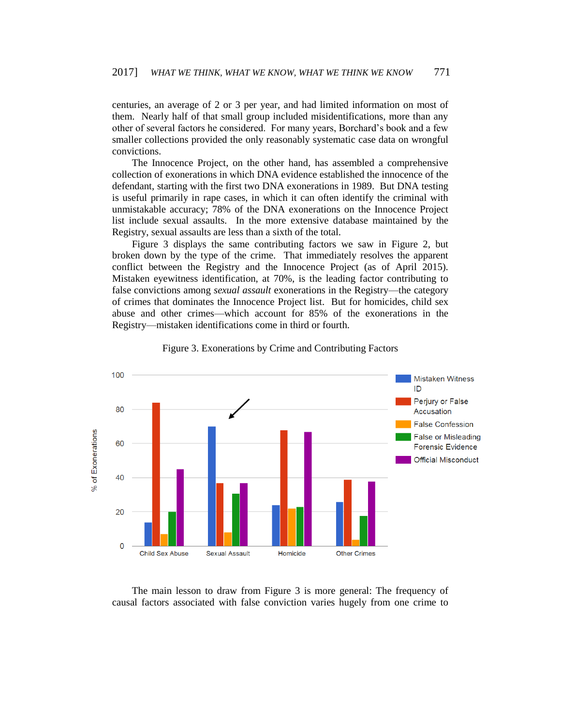centuries, an average of 2 or 3 per year, and had limited information on most of them. Nearly half of that small group included misidentifications, more than any other of several factors he considered. For many years, Borchard's book and a few smaller collections provided the only reasonably systematic case data on wrongful convictions.

The Innocence Project, on the other hand, has assembled a comprehensive collection of exonerations in which DNA evidence established the innocence of the defendant, starting with the first two DNA exonerations in 1989. But DNA testing is useful primarily in rape cases, in which it can often identify the criminal with unmistakable accuracy; 78% of the DNA exonerations on the Innocence Project list include sexual assaults. In the more extensive database maintained by the Registry, sexual assaults are less than a sixth of the total.

Figure 3 displays the same contributing factors we saw in Figure 2, but broken down by the type of the crime. That immediately resolves the apparent conflict between the Registry and the Innocence Project (as of April 2015). Mistaken eyewitness identification, at 70%, is the leading factor contributing to false convictions among *sexual assault* exonerations in the Registry—the category of crimes that dominates the Innocence Project list. But for homicides, child sex abuse and other crimes—which account for 85% of the exonerations in the Registry—mistaken identifications come in third or fourth.





The main lesson to draw from Figure 3 is more general: The frequency of causal factors associated with false conviction varies hugely from one crime to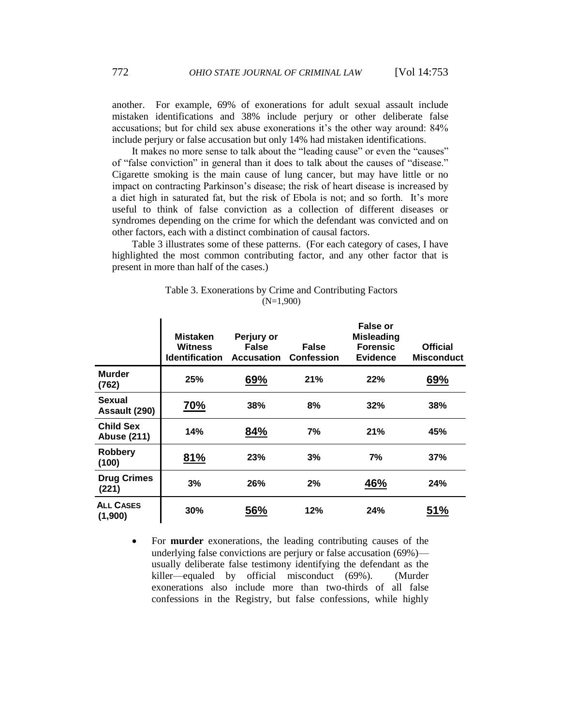another. For example, 69% of exonerations for adult sexual assault include mistaken identifications and 38% include perjury or other deliberate false accusations; but for child sex abuse exonerations it's the other way around: 84% include perjury or false accusation but only 14% had mistaken identifications.

It makes no more sense to talk about the "leading cause" or even the "causes" of "false conviction" in general than it does to talk about the causes of "disease." Cigarette smoking is the main cause of lung cancer, but may have little or no impact on contracting Parkinson's disease; the risk of heart disease is increased by a diet high in saturated fat, but the risk of Ebola is not; and so forth. It's more useful to think of false conviction as a collection of different diseases or syndromes depending on the crime for which the defendant was convicted and on other factors, each with a distinct combination of causal factors.

Table 3 illustrates some of these patterns. (For each category of cases, I have highlighted the most common contributing factor, and any other factor that is present in more than half of the cases.)

| Table 3. Exonerations by Crime and Contributing Factors |             |  |  |
|---------------------------------------------------------|-------------|--|--|
|                                                         | $(N=1,900)$ |  |  |

|                                        | Mistaken<br>Witness<br><b>Identification</b> | Perjury or<br><b>False</b><br><b>Accusation</b> | False<br><b>Confession</b> | False or<br><b>Misleading</b><br><b>Forensic</b><br><b>Evidence</b> | <b>Official</b><br><b>Misconduct</b> |
|----------------------------------------|----------------------------------------------|-------------------------------------------------|----------------------------|---------------------------------------------------------------------|--------------------------------------|
| <b>Murder</b><br>(762)                 | 25%                                          | 69%                                             | 21%                        | 22%                                                                 | 69%                                  |
| Sexual<br>Assault (290)                | 70%                                          | 38%                                             | 8%                         | 32%                                                                 | 38%                                  |
| <b>Child Sex</b><br><b>Abuse (211)</b> | 14%                                          | 84%                                             | 7%                         | 21%                                                                 | 45%                                  |
| <b>Robbery</b><br>(100)                | 81%                                          | 23%                                             | 3%                         | 7%                                                                  | 37%                                  |
| <b>Drug Crimes</b><br>(221)            | 3%                                           | 26%                                             | 2%                         | 46%                                                                 | 24%                                  |
| <b>ALL CASES</b><br>(1,900)            | 30%                                          | 56%                                             | 12%                        | 24%                                                                 | 51%                                  |

 For **murder** exonerations, the leading contributing causes of the underlying false convictions are perjury or false accusation (69%) usually deliberate false testimony identifying the defendant as the killer—equaled by official misconduct (69%). (Murder exonerations also include more than two-thirds of all false confessions in the Registry, but false confessions, while highly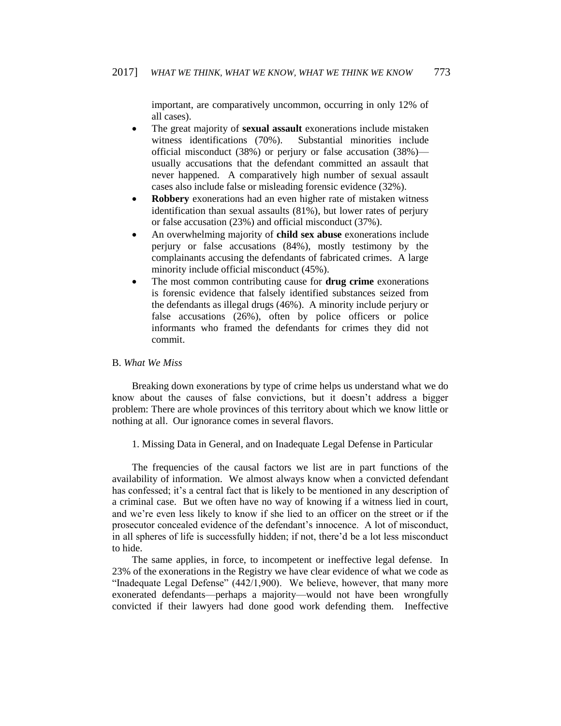important, are comparatively uncommon, occurring in only 12% of all cases).

- The great majority of **sexual assault** exonerations include mistaken witness identifications (70%). Substantial minorities include official misconduct (38%) or perjury or false accusation (38%) usually accusations that the defendant committed an assault that never happened. A comparatively high number of sexual assault cases also include false or misleading forensic evidence (32%).
- **Robbery** exonerations had an even higher rate of mistaken witness identification than sexual assaults (81%), but lower rates of perjury or false accusation (23%) and official misconduct (37%).
- An overwhelming majority of **child sex abuse** exonerations include perjury or false accusations (84%), mostly testimony by the complainants accusing the defendants of fabricated crimes. A large minority include official misconduct (45%).
- The most common contributing cause for **drug crime** exonerations is forensic evidence that falsely identified substances seized from the defendants as illegal drugs (46%). A minority include perjury or false accusations (26%), often by police officers or police informants who framed the defendants for crimes they did not commit.

# B. *What We Miss*

Breaking down exonerations by type of crime helps us understand what we do know about the causes of false convictions, but it doesn't address a bigger problem: There are whole provinces of this territory about which we know little or nothing at all. Our ignorance comes in several flavors.

1. Missing Data in General, and on Inadequate Legal Defense in Particular

The frequencies of the causal factors we list are in part functions of the availability of information. We almost always know when a convicted defendant has confessed; it's a central fact that is likely to be mentioned in any description of a criminal case. But we often have no way of knowing if a witness lied in court, and we're even less likely to know if she lied to an officer on the street or if the prosecutor concealed evidence of the defendant's innocence. A lot of misconduct, in all spheres of life is successfully hidden; if not, there'd be a lot less misconduct to hide.

The same applies, in force, to incompetent or ineffective legal defense. In 23% of the exonerations in the Registry we have clear evidence of what we code as "Inadequate Legal Defense"  $(442/1,900)$ . We believe, however, that many more exonerated defendants—perhaps a majority—would not have been wrongfully convicted if their lawyers had done good work defending them. Ineffective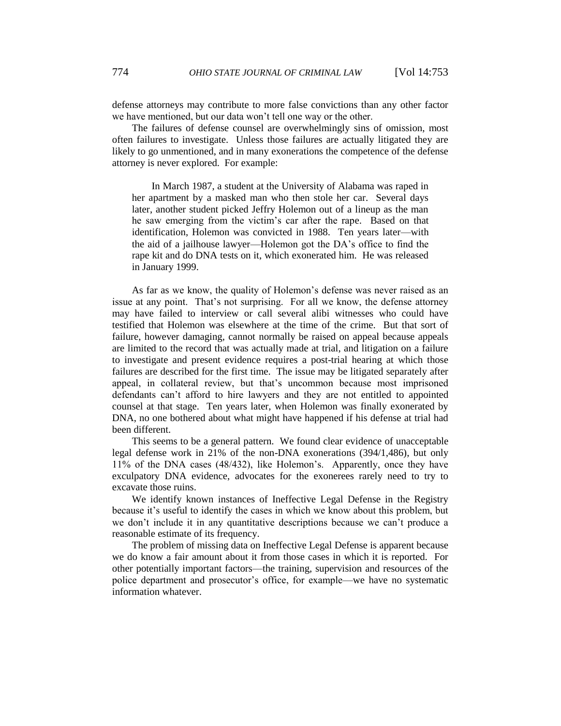defense attorneys may contribute to more false convictions than any other factor we have mentioned, but our data won't tell one way or the other.

The failures of defense counsel are overwhelmingly sins of omission, most often failures to investigate. Unless those failures are actually litigated they are likely to go unmentioned, and in many exonerations the competence of the defense attorney is never explored. For example:

In March 1987, a student at the University of Alabama was raped in her apartment by a masked man who then stole her car. Several days later, another student picked Jeffry Holemon out of a lineup as the man he saw emerging from the victim's car after the rape. Based on that identification, Holemon was convicted in 1988. Ten years later—with the aid of a jailhouse lawyer—Holemon got the DA's office to find the rape kit and do DNA tests on it, which exonerated him. He was released in January 1999.

As far as we know, the quality of Holemon's defense was never raised as an issue at any point. That's not surprising. For all we know, the defense attorney may have failed to interview or call several alibi witnesses who could have testified that Holemon was elsewhere at the time of the crime. But that sort of failure, however damaging, cannot normally be raised on appeal because appeals are limited to the record that was actually made at trial, and litigation on a failure to investigate and present evidence requires a post-trial hearing at which those failures are described for the first time. The issue may be litigated separately after appeal, in collateral review, but that's uncommon because most imprisoned defendants can't afford to hire lawyers and they are not entitled to appointed counsel at that stage. Ten years later, when Holemon was finally exonerated by DNA, no one bothered about what might have happened if his defense at trial had been different.

This seems to be a general pattern. We found clear evidence of unacceptable legal defense work in 21% of the non-DNA exonerations (394/1,486), but only 11% of the DNA cases (48/432), like Holemon's. Apparently, once they have exculpatory DNA evidence, advocates for the exonerees rarely need to try to excavate those ruins.

We identify known instances of Ineffective Legal Defense in the Registry because it's useful to identify the cases in which we know about this problem, but we don't include it in any quantitative descriptions because we can't produce a reasonable estimate of its frequency.

The problem of missing data on Ineffective Legal Defense is apparent because we do know a fair amount about it from those cases in which it is reported. For other potentially important factors—the training, supervision and resources of the police department and prosecutor's office, for example—we have no systematic information whatever.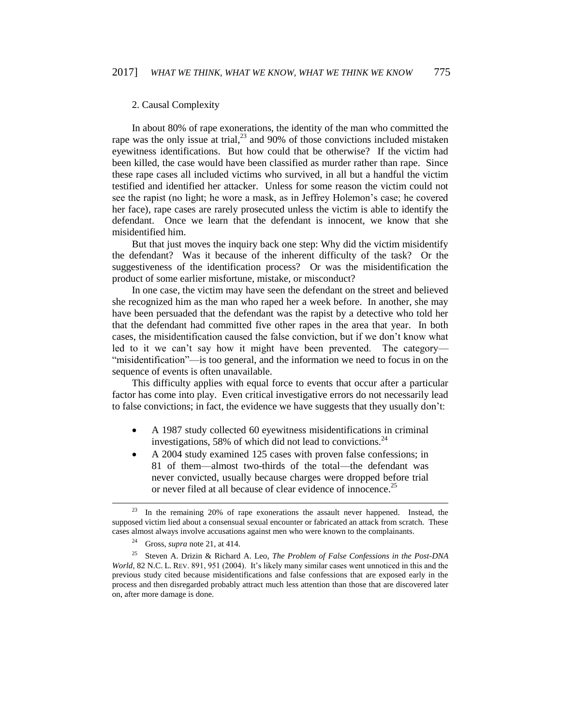# 2. Causal Complexity

In about 80% of rape exonerations, the identity of the man who committed the rape was the only issue at trial, $^{23}$  and 90% of those convictions included mistaken eyewitness identifications. But how could that be otherwise? If the victim had been killed, the case would have been classified as murder rather than rape. Since these rape cases all included victims who survived, in all but a handful the victim testified and identified her attacker. Unless for some reason the victim could not see the rapist (no light; he wore a mask, as in Jeffrey Holemon's case; he covered her face), rape cases are rarely prosecuted unless the victim is able to identify the defendant. Once we learn that the defendant is innocent, we know that she misidentified him.

But that just moves the inquiry back one step: Why did the victim misidentify the defendant? Was it because of the inherent difficulty of the task? Or the suggestiveness of the identification process? Or was the misidentification the product of some earlier misfortune, mistake, or misconduct?

In one case, the victim may have seen the defendant on the street and believed she recognized him as the man who raped her a week before. In another, she may have been persuaded that the defendant was the rapist by a detective who told her that the defendant had committed five other rapes in the area that year. In both cases, the misidentification caused the false conviction, but if we don't know what led to it we can't say how it might have been prevented. The category— "misidentification"—is too general, and the information we need to focus in on the sequence of events is often unavailable.

This difficulty applies with equal force to events that occur after a particular factor has come into play. Even critical investigative errors do not necessarily lead to false convictions; in fact, the evidence we have suggests that they usually don't:

- A 1987 study collected 60 eyewitness misidentifications in criminal investigations, 58% of which did not lead to convictions.<sup>24</sup>
- A 2004 study examined 125 cases with proven false confessions; in 81 of them—almost two-thirds of the total—the defendant was never convicted, usually because charges were dropped before trial or never filed at all because of clear evidence of innocence.<sup>25</sup>

 $\overline{a}$ 

<sup>&</sup>lt;sup>23</sup> In the remaining 20% of rape exonerations the assault never happened. Instead, the supposed victim lied about a consensual sexual encounter or fabricated an attack from scratch. These cases almost always involve accusations against men who were known to the complainants.

<sup>24</sup> Gross, *supra* note 21, at 414.

<sup>25</sup> Steven A. Drizin & Richard A. Leo, *The Problem of False Confessions in the Post-DNA World*, 82 N.C. L. REV. 891, 951 (2004). It's likely many similar cases went unnoticed in this and the previous study cited because misidentifications and false confessions that are exposed early in the process and then disregarded probably attract much less attention than those that are discovered later on, after more damage is done.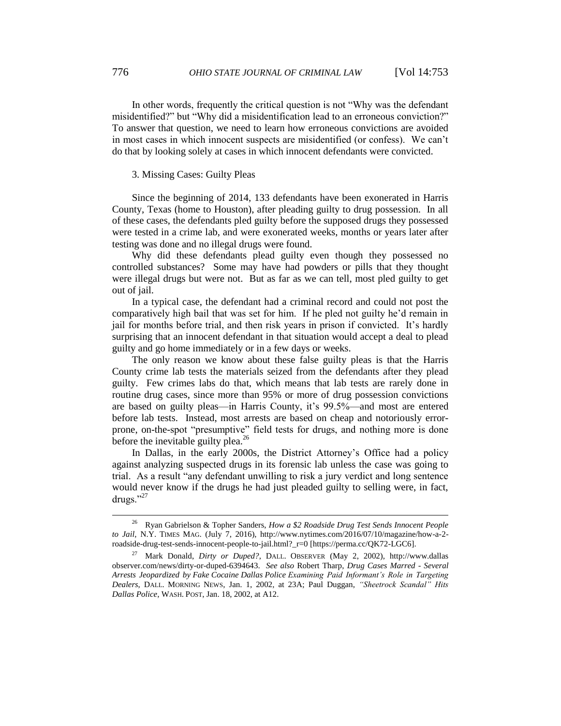In other words, frequently the critical question is not "Why was the defendant misidentified?" but "Why did a misidentification lead to an erroneous conviction?" To answer that question, we need to learn how erroneous convictions are avoided in most cases in which innocent suspects are misidentified (or confess). We can't do that by looking solely at cases in which innocent defendants were convicted.

### 3. Missing Cases: Guilty Pleas

Since the beginning of 2014, 133 defendants have been exonerated in Harris County, Texas (home to Houston), after pleading guilty to drug possession. In all of these cases, the defendants pled guilty before the supposed drugs they possessed were tested in a crime lab, and were exonerated weeks, months or years later after testing was done and no illegal drugs were found.

Why did these defendants plead guilty even though they possessed no controlled substances? Some may have had powders or pills that they thought were illegal drugs but were not. But as far as we can tell, most pled guilty to get out of jail.

In a typical case, the defendant had a criminal record and could not post the comparatively high bail that was set for him. If he pled not guilty he'd remain in jail for months before trial, and then risk years in prison if convicted. It's hardly surprising that an innocent defendant in that situation would accept a deal to plead guilty and go home immediately or in a few days or weeks.

The only reason we know about these false guilty pleas is that the Harris County crime lab tests the materials seized from the defendants after they plead guilty. Few crimes labs do that, which means that lab tests are rarely done in routine drug cases, since more than 95% or more of drug possession convictions are based on guilty pleas—in Harris County, it's 99.5%—and most are entered before lab tests. Instead, most arrests are based on cheap and notoriously errorprone, on-the-spot "presumptive" field tests for drugs, and nothing more is done before the inevitable guilty plea. $^{26}$ 

In Dallas, in the early 2000s, the District Attorney's Office had a policy against analyzing suspected drugs in its forensic lab unless the case was going to trial. As a result "any defendant unwilling to risk a jury verdict and long sentence would never know if the drugs he had just pleaded guilty to selling were, in fact, drugs."<sup>27</sup>

<sup>26</sup> Ryan Gabrielson & Topher Sanders, *How a \$2 Roadside Drug Test Sends Innocent People to Jail*, N.Y. TIMES MAG. (July 7, 2016), http://www.nytimes.com/2016/07/10/magazine/how-a-2 roadside-drug-test-sends-innocent-people-to-jail.html?\_r=0 [https://perma.cc/QK72-LGC6].

<sup>27</sup> Mark Donald, *Dirty or Duped?*, DALL. OBSERVER (May 2, 2002), http://www.dallas observer.com/news/dirty-or-duped-6394643. *See also* Robert Tharp, *Drug Cases Marred - Several Arrests Jeopardized by Fake Cocaine Dallas Police Examining Paid Informant's Role in Targeting Dealers*, DALL. MORNING NEWS, Jan. 1, 2002, at 23A; Paul Duggan, *"Sheetrock Scandal" Hits Dallas Police*, WASH. POST, Jan. 18, 2002, at A12.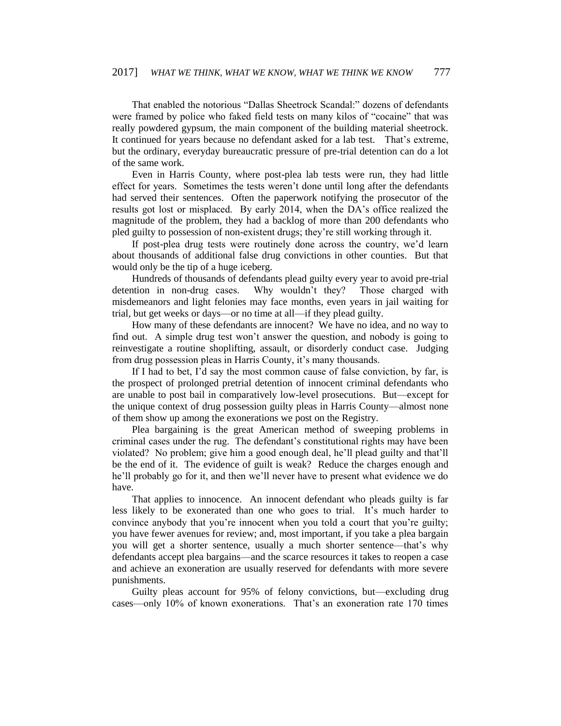That enabled the notorious "Dallas Sheetrock Scandal:" dozens of defendants were framed by police who faked field tests on many kilos of "cocaine" that was really powdered gypsum, the main component of the building material sheetrock. It continued for years because no defendant asked for a lab test. That's extreme, but the ordinary, everyday bureaucratic pressure of pre-trial detention can do a lot of the same work.

Even in Harris County, where post-plea lab tests were run, they had little effect for years. Sometimes the tests weren't done until long after the defendants had served their sentences. Often the paperwork notifying the prosecutor of the results got lost or misplaced. By early 2014, when the DA's office realized the magnitude of the problem, they had a backlog of more than 200 defendants who pled guilty to possession of non-existent drugs; they're still working through it.

If post-plea drug tests were routinely done across the country, we'd learn about thousands of additional false drug convictions in other counties. But that would only be the tip of a huge iceberg.

Hundreds of thousands of defendants plead guilty every year to avoid pre-trial detention in non-drug cases. Why wouldn't they? Those charged with misdemeanors and light felonies may face months, even years in jail waiting for trial, but get weeks or days—or no time at all—if they plead guilty.

How many of these defendants are innocent? We have no idea, and no way to find out. A simple drug test won't answer the question, and nobody is going to reinvestigate a routine shoplifting, assault, or disorderly conduct case. Judging from drug possession pleas in Harris County, it's many thousands.

If I had to bet, I'd say the most common cause of false conviction, by far, is the prospect of prolonged pretrial detention of innocent criminal defendants who are unable to post bail in comparatively low-level prosecutions. But—except for the unique context of drug possession guilty pleas in Harris County—almost none of them show up among the exonerations we post on the Registry.

Plea bargaining is the great American method of sweeping problems in criminal cases under the rug. The defendant's constitutional rights may have been violated? No problem; give him a good enough deal, he'll plead guilty and that'll be the end of it. The evidence of guilt is weak? Reduce the charges enough and he'll probably go for it, and then we'll never have to present what evidence we do have.

That applies to innocence. An innocent defendant who pleads guilty is far less likely to be exonerated than one who goes to trial. It's much harder to convince anybody that you're innocent when you told a court that you're guilty; you have fewer avenues for review; and, most important, if you take a plea bargain you will get a shorter sentence, usually a much shorter sentence—that's why defendants accept plea bargains—and the scarce resources it takes to reopen a case and achieve an exoneration are usually reserved for defendants with more severe punishments.

Guilty pleas account for 95% of felony convictions, but—excluding drug cases—only 10% of known exonerations. That's an exoneration rate 170 times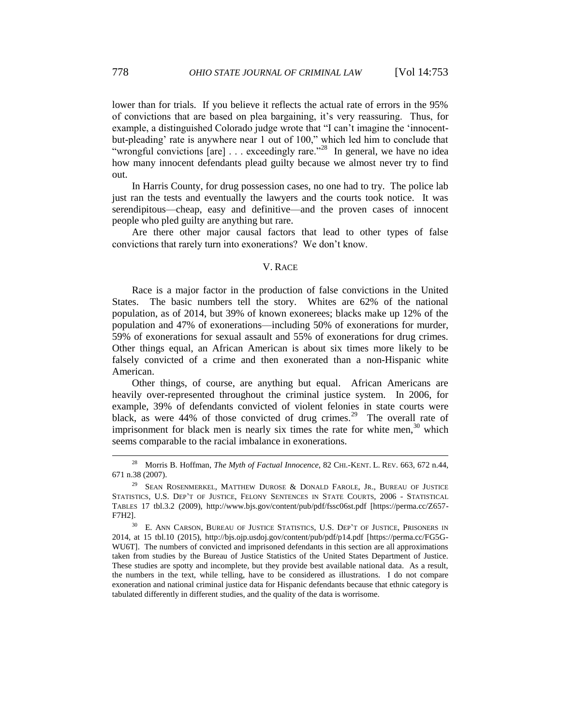lower than for trials. If you believe it reflects the actual rate of errors in the 95% of convictions that are based on plea bargaining, it's very reassuring. Thus, for example, a distinguished Colorado judge wrote that "I can't imagine the 'innocentbut-pleading' rate is anywhere near 1 out of 100," which led him to conclude that "wrongful convictions  $[are]$ ... exceedingly rare."<sup>28</sup> In general, we have no idea how many innocent defendants plead guilty because we almost never try to find out.

In Harris County, for drug possession cases, no one had to try. The police lab just ran the tests and eventually the lawyers and the courts took notice. It was serendipitous—cheap, easy and definitive—and the proven cases of innocent people who pled guilty are anything but rare.

Are there other major causal factors that lead to other types of false convictions that rarely turn into exonerations? We don't know.

# V. RACE

Race is a major factor in the production of false convictions in the United States. The basic numbers tell the story. Whites are 62% of the national population, as of 2014, but 39% of known exonerees; blacks make up 12% of the population and 47% of exonerations—including 50% of exonerations for murder, 59% of exonerations for sexual assault and 55% of exonerations for drug crimes. Other things equal, an African American is about six times more likely to be falsely convicted of a crime and then exonerated than a non-Hispanic white American.

Other things, of course, are anything but equal. African Americans are heavily over-represented throughout the criminal justice system. In 2006, for example, 39% of defendants convicted of violent felonies in state courts were black, as were  $44\%$  of those convicted of drug crimes.<sup>29</sup> The overall rate of imprisonment for black men is nearly six times the rate for white men,  $30$  which seems comparable to the racial imbalance in exonerations.

 $\overline{a}$ 

<sup>&</sup>lt;sup>28</sup> Morris B. Hoffman, *The Myth of Factual Innocence*, 82 CHI.-KENT. L. REV. 663, 672 n.44, 671 n.38 (2007).

<sup>&</sup>lt;sup>29</sup> SEAN ROSENMERKEL, MATTHEW DUROSE & DONALD FAROLE, JR., BUREAU OF JUSTICE STATISTICS, U.S. DEP'T OF JUSTICE, FELONY SENTENCES IN STATE COURTS, 2006 - STATISTICAL TABLES 17 tbl.3.2 (2009), http://www.bjs.gov/content/pub/pdf/fssc06st.pdf [https://perma.cc/Z657- F7H2].

<sup>&</sup>lt;sup>30</sup> E. ANN CARSON, BUREAU OF JUSTICE STATISTICS, U.S. DEP'T OF JUSTICE, PRISONERS IN 2014, at 15 tbl.10 (2015), http://bjs.ojp.usdoj.gov/content/pub/pdf/p14.pdf [https://perma.cc/FG5G-WU6T]. The numbers of convicted and imprisoned defendants in this section are all approximations taken from studies by the Bureau of Justice Statistics of the United States Department of Justice. These studies are spotty and incomplete, but they provide best available national data. As a result, the numbers in the text, while telling, have to be considered as illustrations. I do not compare exoneration and national criminal justice data for Hispanic defendants because that ethnic category is tabulated differently in different studies, and the quality of the data is worrisome.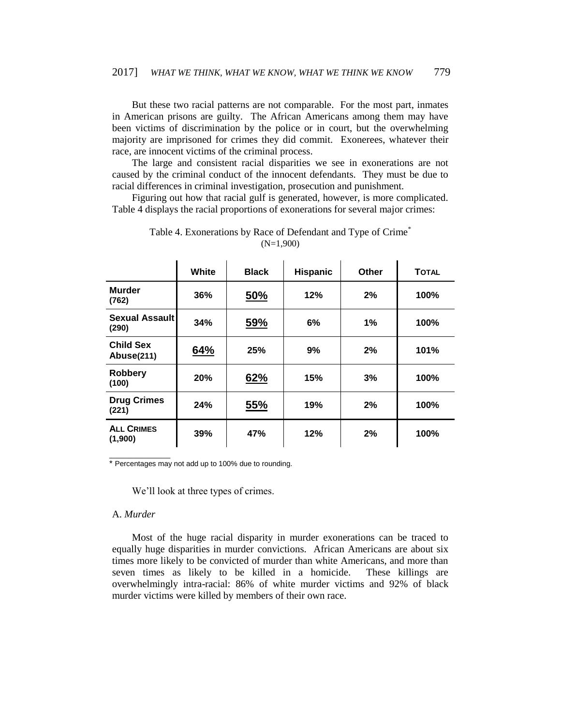But these two racial patterns are not comparable. For the most part, inmates in American prisons are guilty. The African Americans among them may have been victims of discrimination by the police or in court, but the overwhelming majority are imprisoned for crimes they did commit. Exonerees, whatever their race, are innocent victims of the criminal process.

The large and consistent racial disparities we see in exonerations are not caused by the criminal conduct of the innocent defendants. They must be due to racial differences in criminal investigation, prosecution and punishment.

Figuring out how that racial gulf is generated, however, is more complicated. Table 4 displays the racial proportions of exonerations for several major crimes:

|                                       | White | <b>Black</b> | <b>Hispanic</b> | Other | <b>TOTAL</b> |
|---------------------------------------|-------|--------------|-----------------|-------|--------------|
| <b>Murder</b><br>(762)                | 36%   | <u>50%</u>   | 12%             | 2%    | 100%         |
| Sexual Assault<br>(290)               | 34%   | 59%          | 6%              | $1\%$ | 100%         |
| <b>Child Sex</b><br><b>Abuse(211)</b> | 64%   | 25%          | 9%              | 2%    | 101%         |
| <b>Robbery</b><br>(100)               | 20%   | 62%          | 15%             | 3%    | 100%         |
| <b>Drug Crimes</b><br>(221)           | 24%   | 55%          | 19%             | 2%    | 100%         |
| <b>ALL CRIMES</b><br>(1,900)          | 39%   | 47%          | 12%             | 2%    | 100%         |

Table 4. Exonerations by Race of Defendant and Type of Crime<sup>\*</sup> (N=1,900)

\* Percentages may not add up to 100% due to rounding.

We'll look at three types of crimes.

# A. *Murder*

 $\overline{\phantom{a}}$  , where  $\overline{\phantom{a}}$ 

Most of the huge racial disparity in murder exonerations can be traced to equally huge disparities in murder convictions. African Americans are about six times more likely to be convicted of murder than white Americans, and more than seven times as likely to be killed in a homicide. These killings are overwhelmingly intra-racial: 86% of white murder victims and 92% of black murder victims were killed by members of their own race.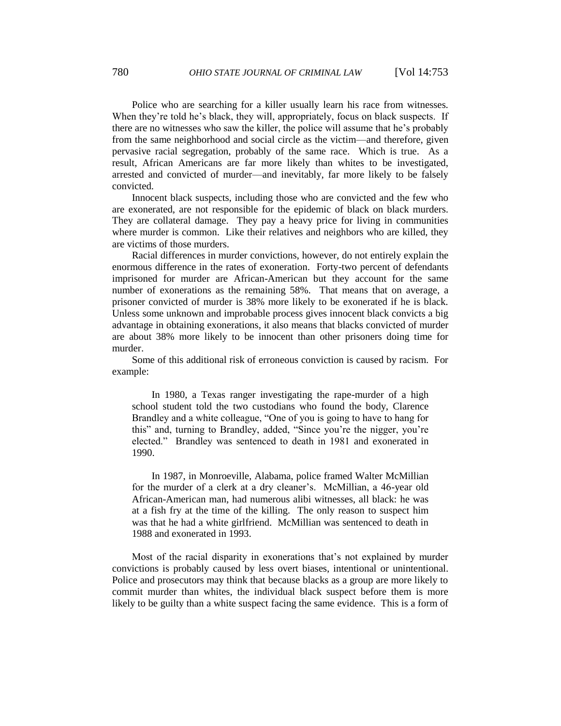Police who are searching for a killer usually learn his race from witnesses. When they're told he's black, they will, appropriately, focus on black suspects. If there are no witnesses who saw the killer, the police will assume that he's probably from the same neighborhood and social circle as the victim—and therefore, given pervasive racial segregation, probably of the same race. Which is true. As a result, African Americans are far more likely than whites to be investigated, arrested and convicted of murder—and inevitably, far more likely to be falsely convicted.

Innocent black suspects, including those who are convicted and the few who are exonerated, are not responsible for the epidemic of black on black murders. They are collateral damage. They pay a heavy price for living in communities where murder is common. Like their relatives and neighbors who are killed, they are victims of those murders.

Racial differences in murder convictions, however, do not entirely explain the enormous difference in the rates of exoneration. Forty-two percent of defendants imprisoned for murder are African-American but they account for the same number of exonerations as the remaining 58%. That means that on average, a prisoner convicted of murder is 38% more likely to be exonerated if he is black. Unless some unknown and improbable process gives innocent black convicts a big advantage in obtaining exonerations, it also means that blacks convicted of murder are about 38% more likely to be innocent than other prisoners doing time for murder.

Some of this additional risk of erroneous conviction is caused by racism. For example:

In 1980, a Texas ranger investigating the rape-murder of a high school student told the two custodians who found the body, Clarence Brandley and a white colleague, "One of you is going to have to hang for this" and, turning to Brandley, added, "Since you're the nigger, you're elected." Brandley was sentenced to death in 1981 and exonerated in 1990.

In 1987, in Monroeville, Alabama, police framed Walter McMillian for the murder of a clerk at a dry cleaner's. McMillian, a 46-year old African-American man, had numerous alibi witnesses, all black: he was at a fish fry at the time of the killing. The only reason to suspect him was that he had a white girlfriend. McMillian was sentenced to death in 1988 and exonerated in 1993.

Most of the racial disparity in exonerations that's not explained by murder convictions is probably caused by less overt biases, intentional or unintentional. Police and prosecutors may think that because blacks as a group are more likely to commit murder than whites, the individual black suspect before them is more likely to be guilty than a white suspect facing the same evidence. This is a form of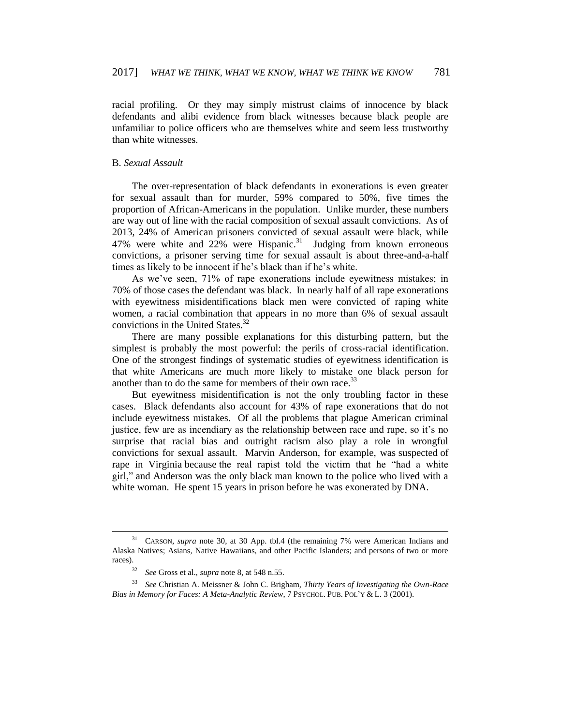racial profiling. Or they may simply mistrust claims of innocence by black defendants and alibi evidence from black witnesses because black people are unfamiliar to police officers who are themselves white and seem less trustworthy than white witnesses.

# B. *Sexual Assault*

The over-representation of black defendants in exonerations is even greater for sexual assault than for murder, 59% compared to 50%, five times the proportion of African-Americans in the population. Unlike murder, these numbers are way out of line with the racial composition of sexual assault convictions. As of 2013, 24% of American prisoners convicted of sexual assault were black, while 47% were white and  $22\%$  were Hispanic.<sup>31</sup> Judging from known erroneous convictions, a prisoner serving time for sexual assault is about three-and-a-half times as likely to be innocent if he's black than if he's white.

As we've seen, 71% of rape exonerations include eyewitness mistakes; in 70% of those cases the defendant was black. In nearly half of all rape exonerations with eyewitness misidentifications black men were convicted of raping white women, a racial combination that appears in no more than 6% of sexual assault convictions in the United States. $32$ 

There are many possible explanations for this disturbing pattern, but the simplest is probably the most powerful: the perils of cross-racial identification. One of the strongest findings of systematic studies of eyewitness identification is that white Americans are much more likely to mistake one black person for another than to do the same for members of their own race.<sup>33</sup>

But eyewitness misidentification is not the only troubling factor in these cases. Black defendants also account for 43% of rape exonerations that do not include eyewitness mistakes. Of all the problems that plague American criminal justice, few are as incendiary as the relationship between race and rape, so it's no surprise that racial bias and outright racism also play a role in wrongful convictions for sexual assault. Marvin Anderson, for example, was suspected of rape in Virginia because the real rapist told the victim that he "had a white girl," and Anderson was the only black man known to the police who lived with a white woman. He spent 15 years in prison before he was exonerated by DNA.

<sup>31</sup> CARSON, *supra* note 30, at 30 App. tbl.4 (the remaining 7% were American Indians and Alaska Natives; Asians, Native Hawaiians, and other Pacific Islanders; and persons of two or more races).

<sup>32</sup> *See* Gross et al., *supra* note 8, at 548 n.55.

<sup>33</sup> *See* Christian A. Meissner & John C. Brigham, *Thirty Years of Investigating the Own-Race Bias in Memory for Faces: A Meta-Analytic Review*, 7 PSYCHOL. PUB. POL'Y & L. 3 (2001).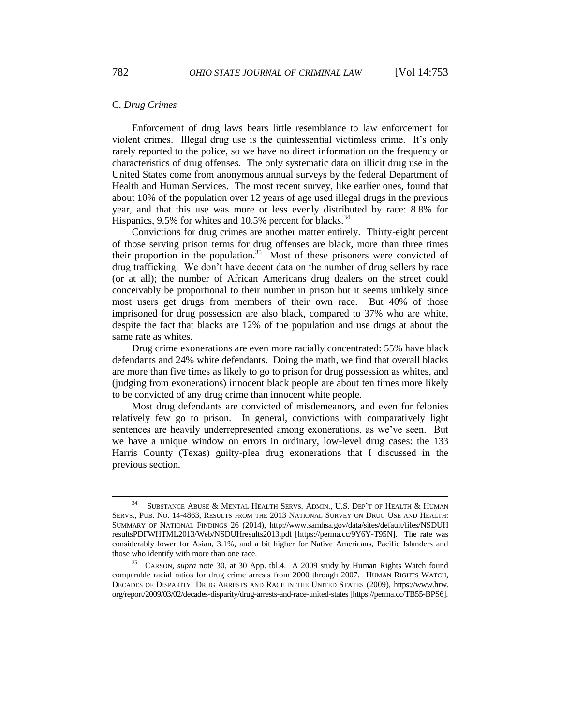## C. *Drug Crimes*

Enforcement of drug laws bears little resemblance to law enforcement for violent crimes. Illegal drug use is the quintessential victimless crime. It's only rarely reported to the police, so we have no direct information on the frequency or characteristics of drug offenses. The only systematic data on illicit drug use in the United States come from anonymous annual surveys by the federal Department of Health and Human Services. The most recent survey, like earlier ones, found that about 10% of the population over 12 years of age used illegal drugs in the previous year, and that this use was more or less evenly distributed by race: 8.8% for Hispanics, 9.5% for whites and 10.5% percent for blacks.<sup>34</sup>

Convictions for drug crimes are another matter entirely. Thirty-eight percent of those serving prison terms for drug offenses are black, more than three times their proportion in the population.<sup>35</sup> Most of these prisoners were convicted of drug trafficking. We don't have decent data on the number of drug sellers by race (or at all); the number of African Americans drug dealers on the street could conceivably be proportional to their number in prison but it seems unlikely since most users get drugs from members of their own race. But 40% of those imprisoned for drug possession are also black, compared to 37% who are white, despite the fact that blacks are 12% of the population and use drugs at about the same rate as whites.

Drug crime exonerations are even more racially concentrated: 55% have black defendants and 24% white defendants. Doing the math, we find that overall blacks are more than five times as likely to go to prison for drug possession as whites, and (judging from exonerations) innocent black people are about ten times more likely to be convicted of any drug crime than innocent white people.

Most drug defendants are convicted of misdemeanors, and even for felonies relatively few go to prison. In general, convictions with comparatively light sentences are heavily underrepresented among exonerations, as we've seen. But we have a unique window on errors in ordinary, low-level drug cases: the 133 Harris County (Texas) guilty-plea drug exonerations that I discussed in the previous section.

<sup>&</sup>lt;sup>34</sup> SUBSTANCE ABUSE & MENTAL HEALTH SERVS. ADMIN., U.S. DEP'T OF HEALTH & HUMAN SERVS., PUB. NO. 14-4863, RESULTS FROM THE 2013 NATIONAL SURVEY ON DRUG USE AND HEALTH: SUMMARY OF NATIONAL FINDINGS 26 (2014), http://www.samhsa.gov/data/sites/default/files/NSDUH resultsPDFWHTML2013/Web/NSDUHresults2013.pdf [https://perma.cc/9Y6Y-T95N]. The rate was considerably lower for Asian, 3.1%, and a bit higher for Native Americans, Pacific Islanders and those who identify with more than one race.

<sup>35</sup> CARSON, *supra* note 30, at 30 App. tbl.4. A 2009 study by Human Rights Watch found comparable racial ratios for drug crime arrests from 2000 through 2007. HUMAN RIGHTS WATCH, DECADES OF DISPARITY: DRUG ARRESTS AND RACE IN THE UNITED STATES (2009), https://www.hrw. org/report/2009/03/02/decades-disparity/drug-arrests-and-race-united-states [https://perma.cc/TB55-BPS6].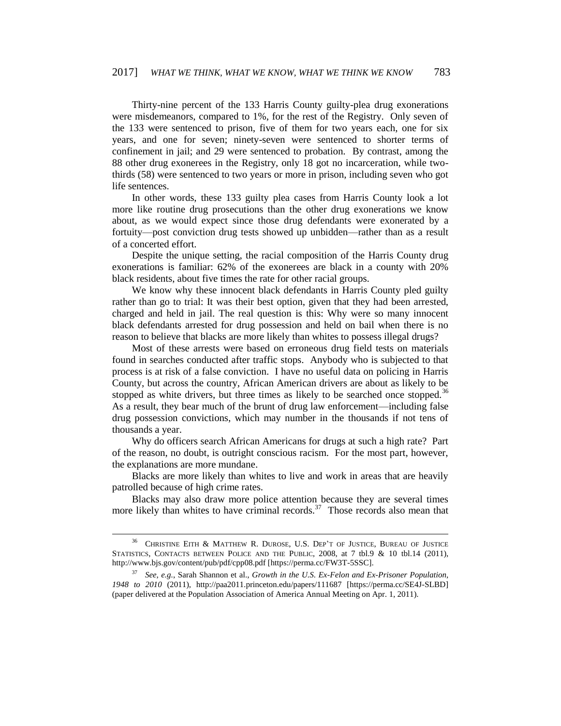Thirty-nine percent of the 133 Harris County guilty-plea drug exonerations were misdemeanors, compared to 1%, for the rest of the Registry. Only seven of the 133 were sentenced to prison, five of them for two years each, one for six years, and one for seven; ninety-seven were sentenced to shorter terms of confinement in jail; and 29 were sentenced to probation. By contrast, among the 88 other drug exonerees in the Registry, only 18 got no incarceration, while twothirds (58) were sentenced to two years or more in prison, including seven who got life sentences.

In other words, these 133 guilty plea cases from Harris County look a lot more like routine drug prosecutions than the other drug exonerations we know about, as we would expect since those drug defendants were exonerated by a fortuity—post conviction drug tests showed up unbidden—rather than as a result of a concerted effort.

Despite the unique setting, the racial composition of the Harris County drug exonerations is familiar: 62% of the exonerees are black in a county with 20% black residents, about five times the rate for other racial groups.

We know why these innocent black defendants in Harris County pled guilty rather than go to trial: It was their best option, given that they had been arrested, charged and held in jail. The real question is this: Why were so many innocent black defendants arrested for drug possession and held on bail when there is no reason to believe that blacks are more likely than whites to possess illegal drugs?

Most of these arrests were based on erroneous drug field tests on materials found in searches conducted after traffic stops. Anybody who is subjected to that process is at risk of a false conviction. I have no useful data on policing in Harris County, but across the country, African American drivers are about as likely to be stopped as white drivers, but three times as likely to be searched once stopped.<sup>36</sup> As a result, they bear much of the brunt of drug law enforcement—including false drug possession convictions, which may number in the thousands if not tens of thousands a year.

Why do officers search African Americans for drugs at such a high rate? Part of the reason, no doubt, is outright conscious racism. For the most part, however, the explanations are more mundane.

Blacks are more likely than whites to live and work in areas that are heavily patrolled because of high crime rates.

Blacks may also draw more police attention because they are several times more likely than whites to have criminal records.<sup>37</sup> Those records also mean that

 $36$  CHRISTINE EITH & MATTHEW R. DUROSE, U.S. DEP'T OF JUSTICE, BUREAU OF JUSTICE STATISTICS, CONTACTS BETWEEN POLICE AND THE PUBLIC, 2008, at 7 tbl.9 & 10 tbl.14 (2011), http://www.bjs.gov/content/pub/pdf/cpp08.pdf [https://perma.cc/FW3T-5SSC].

<sup>37</sup> *See, e.g.*, Sarah Shannon et al., *Growth in the U.S. Ex-Felon and Ex-Prisoner Population, 1948 to 2010* (2011), http://paa2011.princeton.edu/papers/111687 [https://perma.cc/SE4J-SLBD] (paper delivered at the Population Association of America Annual Meeting on Apr. 1, 2011).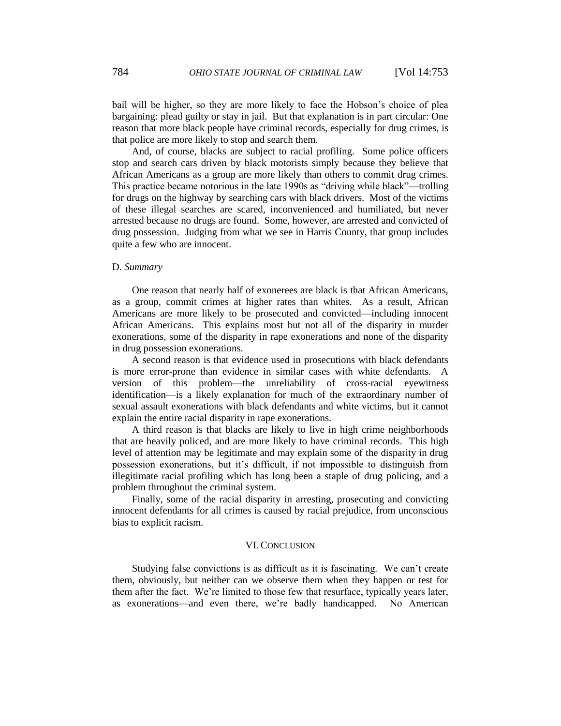bail will be higher, so they are more likely to face the Hobson's choice of plea bargaining: plead guilty or stay in jail. But that explanation is in part circular: One reason that more black people have criminal records, especially for drug crimes, is that police are more likely to stop and search them.

And, of course, blacks are subject to racial profiling. Some police officers stop and search cars driven by black motorists simply because they believe that African Americans as a group are more likely than others to commit drug crimes. This practice became notorious in the late 1990s as "driving while black"—trolling for drugs on the highway by searching cars with black drivers. Most of the victims of these illegal searches are scared, inconvenienced and humiliated, but never arrested because no drugs are found. Some, however, are arrested and convicted of drug possession. Judging from what we see in Harris County, that group includes quite a few who are innocent.

## D. *Summary*

One reason that nearly half of exonerees are black is that African Americans, as a group, commit crimes at higher rates than whites. As a result, African Americans are more likely to be prosecuted and convicted—including innocent African Americans. This explains most but not all of the disparity in murder exonerations, some of the disparity in rape exonerations and none of the disparity in drug possession exonerations.

A second reason is that evidence used in prosecutions with black defendants is more error-prone than evidence in similar cases with white defendants. A version of this problem—the unreliability of cross-racial eyewitness identification—is a likely explanation for much of the extraordinary number of sexual assault exonerations with black defendants and white victims, but it cannot explain the entire racial disparity in rape exonerations.

A third reason is that blacks are likely to live in high crime neighborhoods that are heavily policed, and are more likely to have criminal records. This high level of attention may be legitimate and may explain some of the disparity in drug possession exonerations, but it's difficult, if not impossible to distinguish from illegitimate racial profiling which has long been a staple of drug policing, and a problem throughout the criminal system.

Finally, some of the racial disparity in arresting, prosecuting and convicting innocent defendants for all crimes is caused by racial prejudice, from unconscious bias to explicit racism.

## VI. CONCLUSION

Studying false convictions is as difficult as it is fascinating. We can't create them, obviously, but neither can we observe them when they happen or test for them after the fact. We're limited to those few that resurface, typically years later, as exonerations—and even there, we're badly handicapped. No American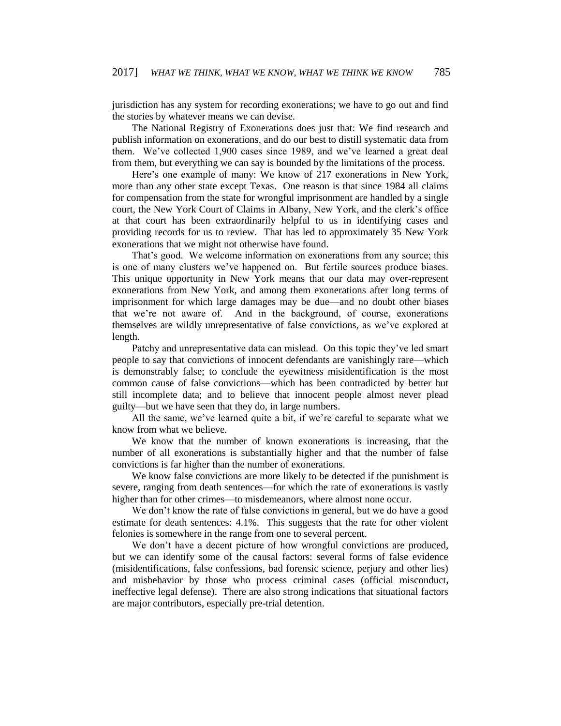jurisdiction has any system for recording exonerations; we have to go out and find the stories by whatever means we can devise.

The National Registry of Exonerations does just that: We find research and publish information on exonerations, and do our best to distill systematic data from them. We've collected 1,900 cases since 1989, and we've learned a great deal from them, but everything we can say is bounded by the limitations of the process.

Here's one example of many: We know of 217 exonerations in New York, more than any other state except Texas. One reason is that since 1984 all claims for compensation from the state for wrongful imprisonment are handled by a single court, the New York Court of Claims in Albany, New York, and the clerk's office at that court has been extraordinarily helpful to us in identifying cases and providing records for us to review. That has led to approximately 35 New York exonerations that we might not otherwise have found.

That's good. We welcome information on exonerations from any source; this is one of many clusters we've happened on. But fertile sources produce biases. This unique opportunity in New York means that our data may over-represent exonerations from New York, and among them exonerations after long terms of imprisonment for which large damages may be due—and no doubt other biases that we're not aware of. And in the background, of course, exonerations themselves are wildly unrepresentative of false convictions, as we've explored at length.

Patchy and unrepresentative data can mislead. On this topic they've led smart people to say that convictions of innocent defendants are vanishingly rare—which is demonstrably false; to conclude the eyewitness misidentification is the most common cause of false convictions—which has been contradicted by better but still incomplete data; and to believe that innocent people almost never plead guilty—but we have seen that they do, in large numbers.

All the same, we've learned quite a bit, if we're careful to separate what we know from what we believe.

We know that the number of known exonerations is increasing, that the number of all exonerations is substantially higher and that the number of false convictions is far higher than the number of exonerations.

We know false convictions are more likely to be detected if the punishment is severe, ranging from death sentences—for which the rate of exonerations is vastly higher than for other crimes—to misdemeanors, where almost none occur.

We don't know the rate of false convictions in general, but we do have a good estimate for death sentences: 4.1%. This suggests that the rate for other violent felonies is somewhere in the range from one to several percent.

We don't have a decent picture of how wrongful convictions are produced, but we can identify some of the causal factors: several forms of false evidence (misidentifications, false confessions, bad forensic science, perjury and other lies) and misbehavior by those who process criminal cases (official misconduct, ineffective legal defense). There are also strong indications that situational factors are major contributors, especially pre-trial detention.